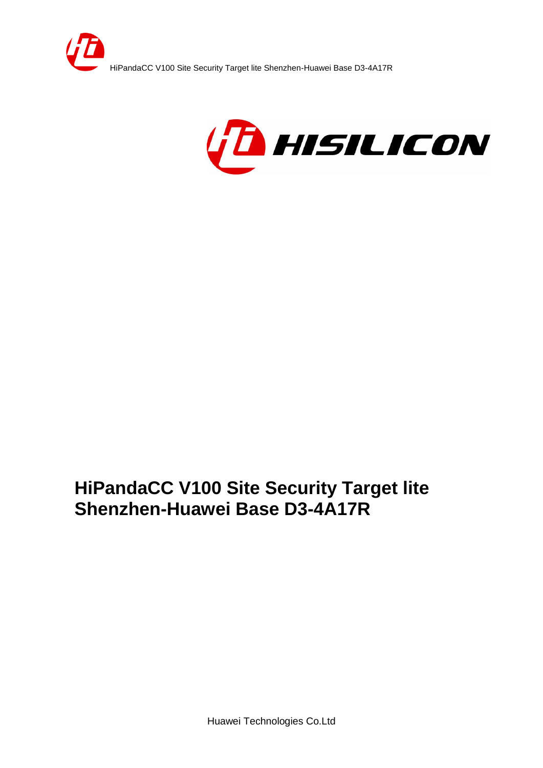



Huawei Technologies Co.Ltd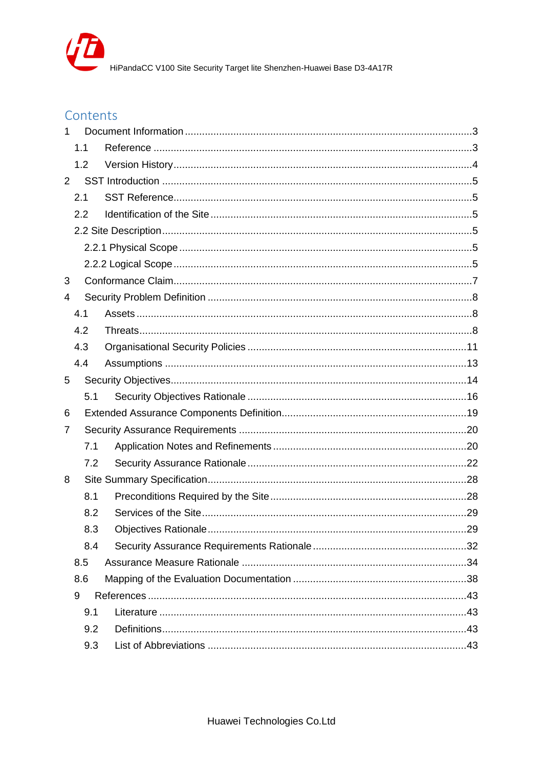

## Contents

| 1              |     |  |
|----------------|-----|--|
|                | 1.1 |  |
|                | 1.2 |  |
| $\overline{2}$ |     |  |
|                | 2.1 |  |
|                | 2.2 |  |
|                |     |  |
|                |     |  |
|                |     |  |
| 3              |     |  |
| 4              |     |  |
|                | 4.1 |  |
|                | 4.2 |  |
|                | 4.3 |  |
|                | 4.4 |  |
| 5              |     |  |
|                | 5.1 |  |
| 6              |     |  |
| 7              |     |  |
|                | 7.1 |  |
|                | 7.2 |  |
| 8              |     |  |
|                | 8.1 |  |
|                | 8.2 |  |
|                | 8.3 |  |
|                | 8.4 |  |
|                | 8.5 |  |
|                | 8.6 |  |
|                | 9   |  |
|                | 9.1 |  |
|                | 9.2 |  |
|                | 9.3 |  |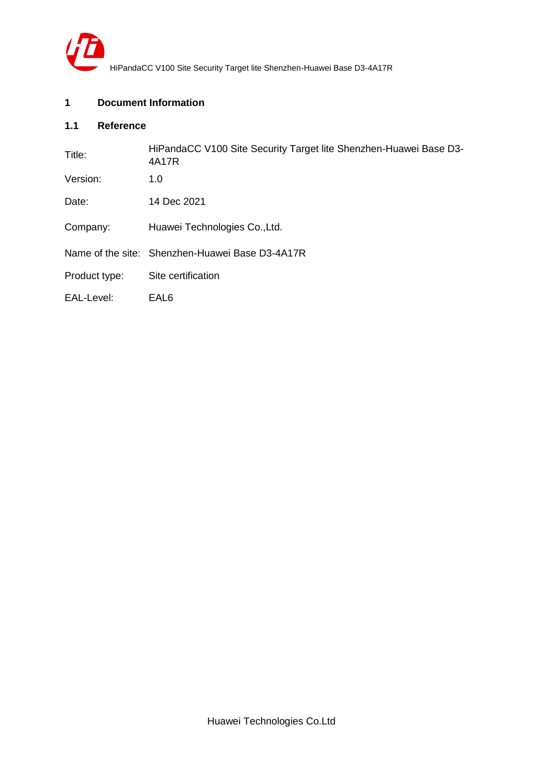

## <span id="page-2-0"></span>**1 Document Information**

## <span id="page-2-1"></span>**1.1 Reference**

| Title:        | HiPandaCC V100 Site Security Target lite Shenzhen-Huawei Base D3-<br>4A17R |
|---------------|----------------------------------------------------------------------------|
| Version:      | 1.0                                                                        |
| Date:         | 14 Dec 2021                                                                |
| Company:      | Huawei Technologies Co., Ltd.                                              |
|               | Name of the site: Shenzhen-Huawei Base D3-4A17R                            |
| Product type: | Site certification                                                         |
| EAL-Level:    | EAL6                                                                       |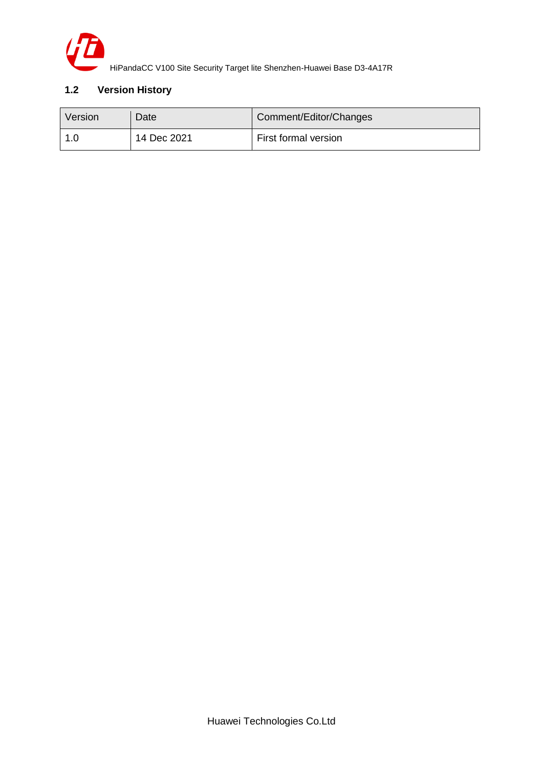

## <span id="page-3-0"></span>**1.2 Version History**

| Version | Date        | Comment/Editor/Changes |
|---------|-------------|------------------------|
|         | 14 Dec 2021 | First formal version   |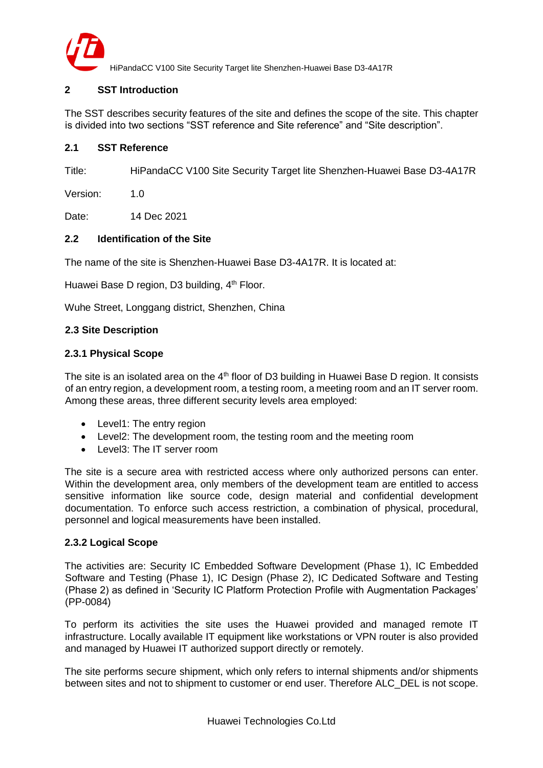

### <span id="page-4-0"></span>**2 SST Introduction**

The SST describes security features of the site and defines the scope of the site. This chapter is divided into two sections "SST reference and Site reference" and "Site description".

#### <span id="page-4-1"></span>**2.1 SST Reference**

Title: HiPandaCC V100 Site Security Target lite Shenzhen-Huawei Base D3-4A17R

Version: 1.0

Date: 14 Dec 2021

### <span id="page-4-2"></span>**2.2 Identification of the Site**

The name of the site is Shenzhen-Huawei Base D3-4A17R. It is located at:

Huawei Base D region, D3 building, 4<sup>th</sup> Floor.

Wuhe Street, Longgang district, Shenzhen, China

#### <span id="page-4-3"></span>**2.3 Site Description**

#### <span id="page-4-4"></span>**2.3.1 Physical Scope**

The site is an isolated area on the 4<sup>th</sup> floor of D3 building in Huawei Base D region. It consists of an entry region, a development room, a testing room, a meeting room and an IT server room. Among these areas, three different security levels area employed:

- Level1: The entry region
- Level2: The development room, the testing room and the meeting room
- Level3: The IT server room

The site is a secure area with restricted access where only authorized persons can enter. Within the development area, only members of the development team are entitled to access sensitive information like source code, design material and confidential development documentation. To enforce such access restriction, a combination of physical, procedural, personnel and logical measurements have been installed.

#### <span id="page-4-5"></span>**2.3.2 Logical Scope**

The activities are: Security IC Embedded Software Development (Phase 1), IC Embedded Software and Testing (Phase 1), IC Design (Phase 2), IC Dedicated Software and Testing (Phase 2) as defined in 'Security IC Platform Protection Profile with Augmentation Packages' (PP-0084)

To perform its activities the site uses the Huawei provided and managed remote IT infrastructure. Locally available IT equipment like workstations or VPN router is also provided and managed by Huawei IT authorized support directly or remotely.

The site performs secure shipment, which only refers to internal shipments and/or shipments between sites and not to shipment to customer or end user. Therefore ALC\_DEL is not scope.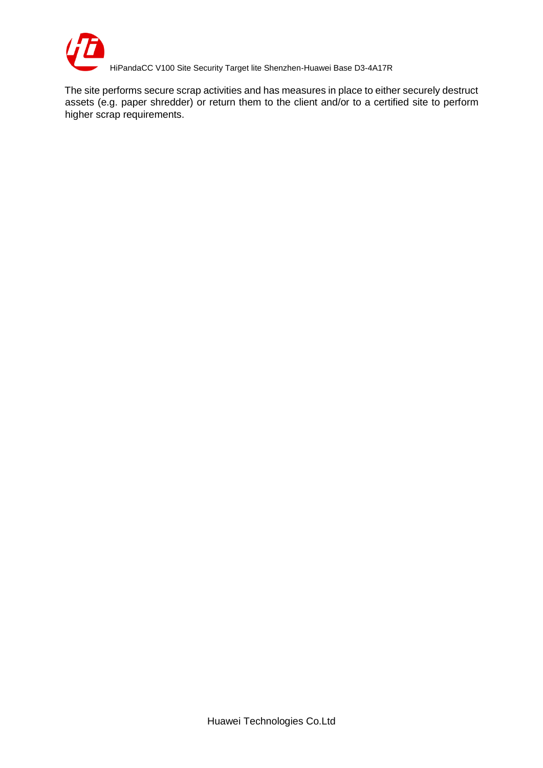

The site performs secure scrap activities and has measures in place to either securely destruct assets (e.g. paper shredder) or return them to the client and/or to a certified site to perform higher scrap requirements.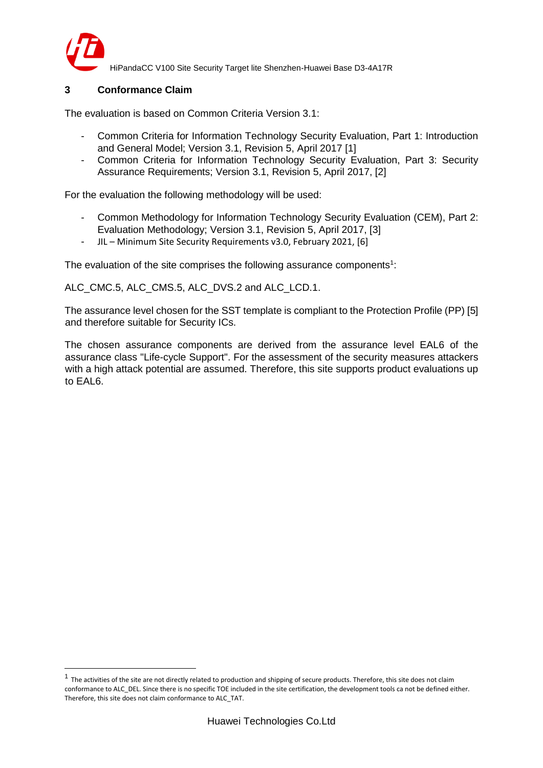

HiPandaCC V100 Site Security Target lite Shenzhen-Huawei Base D3-4A17R

## <span id="page-6-0"></span>**3 Conformance Claim**

The evaluation is based on Common Criteria Version 3.1:

- Common Criteria for Information Technology Security Evaluation, Part 1: Introduction and General Model; Version 3.1, Revision 5, April 2017 [1]
- Common Criteria for Information Technology Security Evaluation, Part 3: Security Assurance Requirements; Version 3.1, Revision 5, April 2017, [2]

For the evaluation the following methodology will be used:

- Common Methodology for Information Technology Security Evaluation (CEM), Part 2: Evaluation Methodology; Version 3.1, Revision 5, April 2017, [3]
- JIL Minimum Site Security Requirements v3.0, February 2021, [6]

The evaluation of the site comprises the following assurance components<sup>1</sup>:

ALC\_CMC.5, ALC\_CMS.5, ALC\_DVS.2 and ALC\_LCD.1.

The assurance level chosen for the SST template is compliant to the Protection Profile (PP) [5] and therefore suitable for Security ICs.

The chosen assurance components are derived from the assurance level EAL6 of the assurance class "Life-cycle Support". For the assessment of the security measures attackers with a high attack potential are assumed. Therefore, this site supports product evaluations up to EAL6.

 $1$  The activities of the site are not directly related to production and shipping of secure products. Therefore, this site does not claim conformance to ALC\_DEL. Since there is no specific TOE included in the site certification, the development tools ca not be defined either. Therefore, this site does not claim conformance to ALC\_TAT.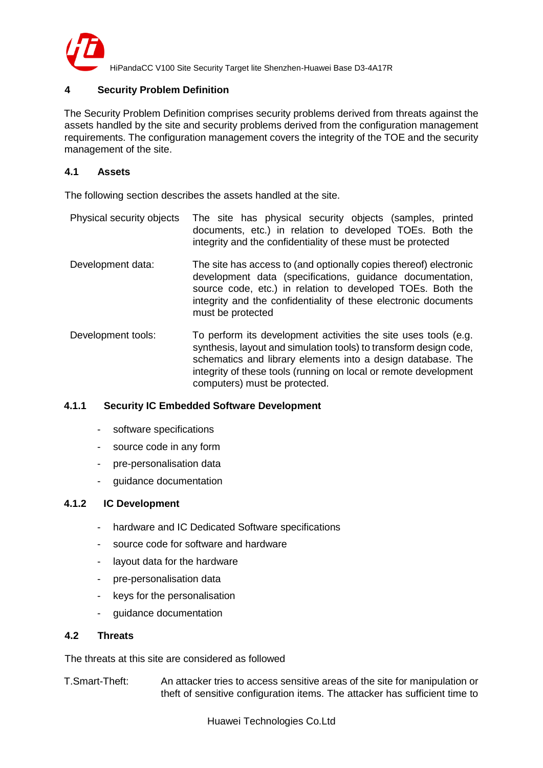

## <span id="page-7-0"></span>**4 Security Problem Definition**

The Security Problem Definition comprises security problems derived from threats against the assets handled by the site and security problems derived from the configuration management requirements. The configuration management covers the integrity of the TOE and the security management of the site.

#### <span id="page-7-1"></span>**4.1 Assets**

The following section describes the assets handled at the site.

Physical security objects The site has physical security objects (samples, printed documents, etc.) in relation to developed TOEs. Both the integrity and the confidentiality of these must be protected Development data: The site has access to (and optionally copies thereof) electronic development data (specifications, guidance documentation, source code, etc.) in relation to developed TOEs. Both the integrity and the confidentiality of these electronic documents must be protected Development tools: To perform its development activities the site uses tools (e.g. synthesis, layout and simulation tools) to transform design code, schematics and library elements into a design database. The integrity of these tools (running on local or remote development computers) must be protected.

#### **4.1.1 Security IC Embedded Software Development**

- software specifications
- source code in any form
- pre-personalisation data
- guidance documentation

#### **4.1.2 IC Development**

- hardware and IC Dedicated Software specifications
- source code for software and hardware
- layout data for the hardware
- pre-personalisation data
- keys for the personalisation
- guidance documentation

#### <span id="page-7-2"></span>**4.2 Threats**

The threats at this site are considered as followed

T.Smart-Theft: An attacker tries to access sensitive areas of the site for manipulation or theft of sensitive configuration items. The attacker has sufficient time to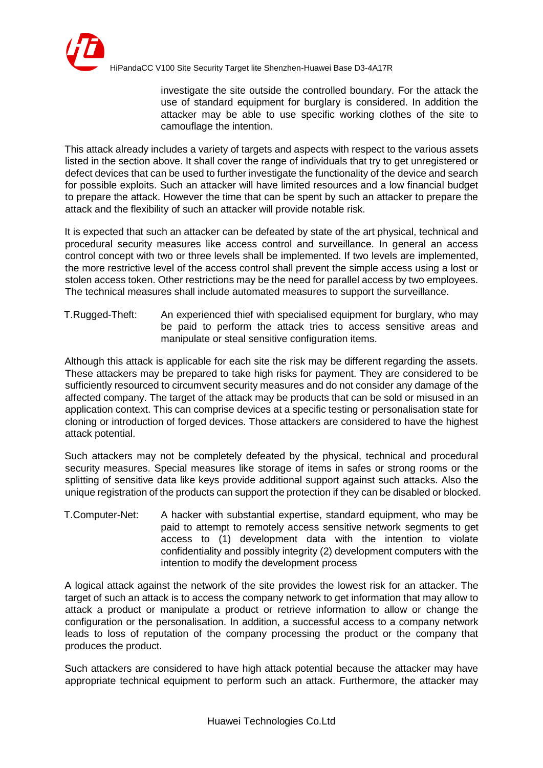

investigate the site outside the controlled boundary. For the attack the use of standard equipment for burglary is considered. In addition the attacker may be able to use specific working clothes of the site to camouflage the intention.

This attack already includes a variety of targets and aspects with respect to the various assets listed in the section above. It shall cover the range of individuals that try to get unregistered or defect devices that can be used to further investigate the functionality of the device and search for possible exploits. Such an attacker will have limited resources and a low financial budget to prepare the attack. However the time that can be spent by such an attacker to prepare the attack and the flexibility of such an attacker will provide notable risk.

It is expected that such an attacker can be defeated by state of the art physical, technical and procedural security measures like access control and surveillance. In general an access control concept with two or three levels shall be implemented. If two levels are implemented, the more restrictive level of the access control shall prevent the simple access using a lost or stolen access token. Other restrictions may be the need for parallel access by two employees. The technical measures shall include automated measures to support the surveillance.

T.Rugged-Theft: An experienced thief with specialised equipment for burglary, who may be paid to perform the attack tries to access sensitive areas and manipulate or steal sensitive configuration items.

Although this attack is applicable for each site the risk may be different regarding the assets. These attackers may be prepared to take high risks for payment. They are considered to be sufficiently resourced to circumvent security measures and do not consider any damage of the affected company. The target of the attack may be products that can be sold or misused in an application context. This can comprise devices at a specific testing or personalisation state for cloning or introduction of forged devices. Those attackers are considered to have the highest attack potential.

Such attackers may not be completely defeated by the physical, technical and procedural security measures. Special measures like storage of items in safes or strong rooms or the splitting of sensitive data like keys provide additional support against such attacks. Also the unique registration of the products can support the protection if they can be disabled or blocked.

T.Computer-Net: A hacker with substantial expertise, standard equipment, who may be paid to attempt to remotely access sensitive network segments to get access to (1) development data with the intention to violate confidentiality and possibly integrity (2) development computers with the intention to modify the development process

A logical attack against the network of the site provides the lowest risk for an attacker. The target of such an attack is to access the company network to get information that may allow to attack a product or manipulate a product or retrieve information to allow or change the configuration or the personalisation. In addition, a successful access to a company network leads to loss of reputation of the company processing the product or the company that produces the product.

Such attackers are considered to have high attack potential because the attacker may have appropriate technical equipment to perform such an attack. Furthermore, the attacker may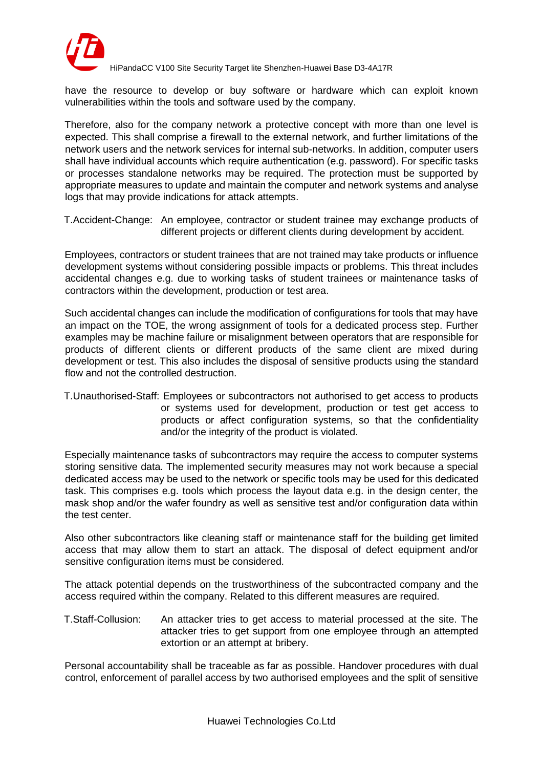

have the resource to develop or buy software or hardware which can exploit known vulnerabilities within the tools and software used by the company.

Therefore, also for the company network a protective concept with more than one level is expected. This shall comprise a firewall to the external network, and further limitations of the network users and the network services for internal sub-networks. In addition, computer users shall have individual accounts which require authentication (e.g. password). For specific tasks or processes standalone networks may be required. The protection must be supported by appropriate measures to update and maintain the computer and network systems and analyse logs that may provide indications for attack attempts.

T.Accident-Change: An employee, contractor or student trainee may exchange products of different projects or different clients during development by accident.

Employees, contractors or student trainees that are not trained may take products or influence development systems without considering possible impacts or problems. This threat includes accidental changes e.g. due to working tasks of student trainees or maintenance tasks of contractors within the development, production or test area.

Such accidental changes can include the modification of configurations for tools that may have an impact on the TOE, the wrong assignment of tools for a dedicated process step. Further examples may be machine failure or misalignment between operators that are responsible for products of different clients or different products of the same client are mixed during development or test. This also includes the disposal of sensitive products using the standard flow and not the controlled destruction.

T.Unauthorised-Staff: Employees or subcontractors not authorised to get access to products or systems used for development, production or test get access to products or affect configuration systems, so that the confidentiality and/or the integrity of the product is violated.

Especially maintenance tasks of subcontractors may require the access to computer systems storing sensitive data. The implemented security measures may not work because a special dedicated access may be used to the network or specific tools may be used for this dedicated task. This comprises e.g. tools which process the layout data e.g. in the design center, the mask shop and/or the wafer foundry as well as sensitive test and/or configuration data within the test center.

Also other subcontractors like cleaning staff or maintenance staff for the building get limited access that may allow them to start an attack. The disposal of defect equipment and/or sensitive configuration items must be considered.

The attack potential depends on the trustworthiness of the subcontracted company and the access required within the company. Related to this different measures are required.

T.Staff-Collusion: An attacker tries to get access to material processed at the site. The attacker tries to get support from one employee through an attempted extortion or an attempt at bribery.

Personal accountability shall be traceable as far as possible. Handover procedures with dual control, enforcement of parallel access by two authorised employees and the split of sensitive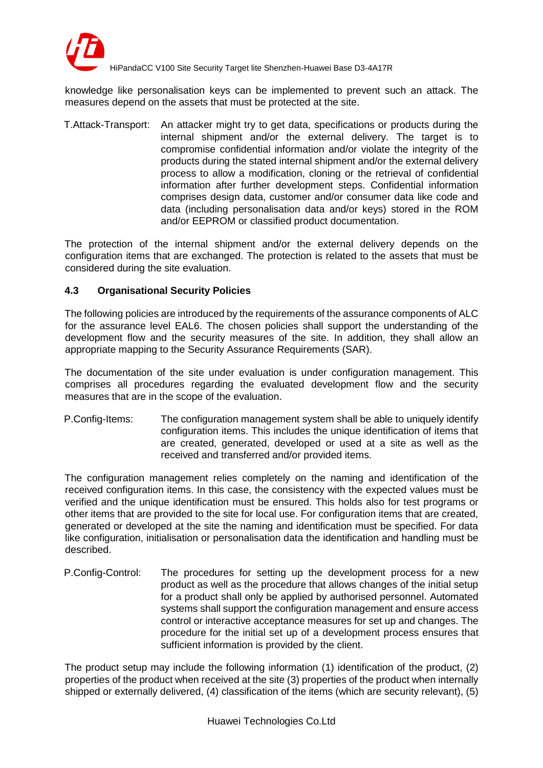

knowledge like personalisation keys can be implemented to prevent such an attack. The measures depend on the assets that must be protected at the site.

T.Attack-Transport: An attacker might try to get data, specifications or products during the internal shipment and/or the external delivery. The target is to compromise confidential information and/or violate the integrity of the products during the stated internal shipment and/or the external delivery process to allow a modification, cloning or the retrieval of confidential information after further development steps. Confidential information comprises design data, customer and/or consumer data like code and data (including personalisation data and/or keys) stored in the ROM and/or EEPROM or classified product documentation.

The protection of the internal shipment and/or the external delivery depends on the configuration items that are exchanged. The protection is related to the assets that must be considered during the site evaluation.

### <span id="page-10-0"></span>**4.3 Organisational Security Policies**

The following policies are introduced by the requirements of the assurance components of ALC for the assurance level EAL6. The chosen policies shall support the understanding of the development flow and the security measures of the site. In addition, they shall allow an appropriate mapping to the Security Assurance Requirements (SAR).

The documentation of the site under evaluation is under configuration management. This comprises all procedures regarding the evaluated development flow and the security measures that are in the scope of the evaluation.

P.Config-Items: The configuration management system shall be able to uniquely identify configuration items. This includes the unique identification of items that are created, generated, developed or used at a site as well as the received and transferred and/or provided items.

The configuration management relies completely on the naming and identification of the received configuration items. In this case, the consistency with the expected values must be verified and the unique identification must be ensured. This holds also for test programs or other items that are provided to the site for local use. For configuration items that are created, generated or developed at the site the naming and identification must be specified. For data like configuration, initialisation or personalisation data the identification and handling must be described.

P.Config-Control: The procedures for setting up the development process for a new product as well as the procedure that allows changes of the initial setup for a product shall only be applied by authorised personnel. Automated systems shall support the configuration management and ensure access control or interactive acceptance measures for set up and changes. The procedure for the initial set up of a development process ensures that sufficient information is provided by the client.

The product setup may include the following information (1) identification of the product, (2) properties of the product when received at the site (3) properties of the product when internally shipped or externally delivered, (4) classification of the items (which are security relevant), (5)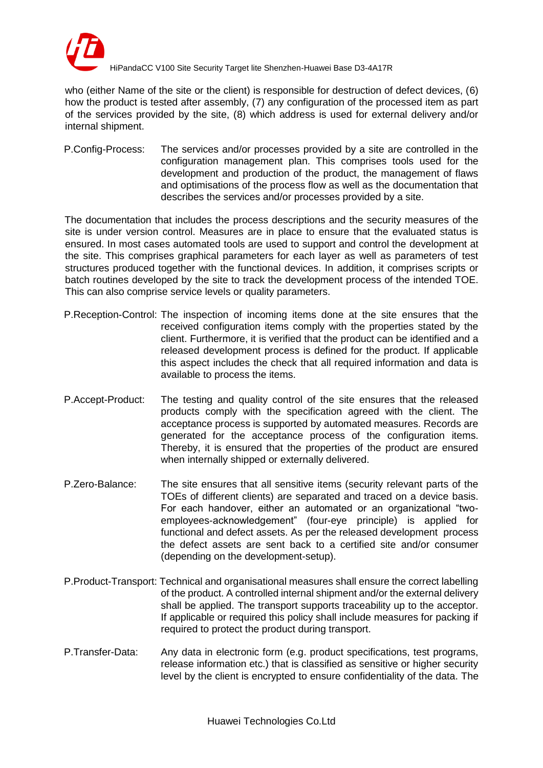

who (either Name of the site or the client) is responsible for destruction of defect devices, (6) how the product is tested after assembly, (7) any configuration of the processed item as part of the services provided by the site, (8) which address is used for external delivery and/or internal shipment.

P.Config-Process: The services and/or processes provided by a site are controlled in the configuration management plan. This comprises tools used for the development and production of the product, the management of flaws and optimisations of the process flow as well as the documentation that describes the services and/or processes provided by a site.

The documentation that includes the process descriptions and the security measures of the site is under version control. Measures are in place to ensure that the evaluated status is ensured. In most cases automated tools are used to support and control the development at the site. This comprises graphical parameters for each layer as well as parameters of test structures produced together with the functional devices. In addition, it comprises scripts or batch routines developed by the site to track the development process of the intended TOE. This can also comprise service levels or quality parameters.

- P.Reception-Control: The inspection of incoming items done at the site ensures that the received configuration items comply with the properties stated by the client. Furthermore, it is verified that the product can be identified and a released development process is defined for the product. If applicable this aspect includes the check that all required information and data is available to process the items.
- P.Accept-Product: The testing and quality control of the site ensures that the released products comply with the specification agreed with the client. The acceptance process is supported by automated measures. Records are generated for the acceptance process of the configuration items. Thereby, it is ensured that the properties of the product are ensured when internally shipped or externally delivered.
- P.Zero-Balance: The site ensures that all sensitive items (security relevant parts of the TOEs of different clients) are separated and traced on a device basis. For each handover, either an automated or an organizational "twoemployees-acknowledgement" (four-eye principle) is applied for functional and defect assets. As per the released development process the defect assets are sent back to a certified site and/or consumer (depending on the development-setup).
- P.Product-Transport: Technical and organisational measures shall ensure the correct labelling of the product. A controlled internal shipment and/or the external delivery shall be applied. The transport supports traceability up to the acceptor. If applicable or required this policy shall include measures for packing if required to protect the product during transport.
- P.Transfer-Data: Any data in electronic form (e.g. product specifications, test programs, release information etc.) that is classified as sensitive or higher security level by the client is encrypted to ensure confidentiality of the data. The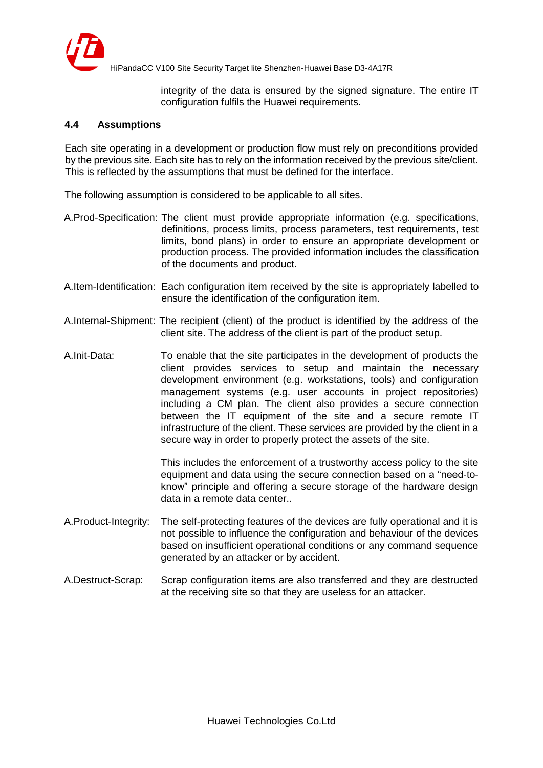

integrity of the data is ensured by the signed signature. The entire IT configuration fulfils the Huawei requirements.

#### <span id="page-12-0"></span>**4.4 Assumptions**

Each site operating in a development or production flow must rely on preconditions provided by the previous site. Each site has to rely on the information received by the previous site/client. This is reflected by the assumptions that must be defined for the interface.

The following assumption is considered to be applicable to all sites.

- A.Prod-Specification: The client must provide appropriate information (e.g. specifications, definitions, process limits, process parameters, test requirements, test limits, bond plans) in order to ensure an appropriate development or production process. The provided information includes the classification of the documents and product.
- A.Item-Identification: Each configuration item received by the site is appropriately labelled to ensure the identification of the configuration item.
- A.Internal-Shipment: The recipient (client) of the product is identified by the address of the client site. The address of the client is part of the product setup.
- A.Init-Data: To enable that the site participates in the development of products the client provides services to setup and maintain the necessary development environment (e.g. workstations, tools) and configuration management systems (e.g. user accounts in project repositories) including a CM plan. The client also provides a secure connection between the IT equipment of the site and a secure remote IT infrastructure of the client. These services are provided by the client in a secure way in order to properly protect the assets of the site.

This includes the enforcement of a trustworthy access policy to the site equipment and data using the secure connection based on a "need-toknow" principle and offering a secure storage of the hardware design data in a remote data center..

- A.Product-Integrity: The self-protecting features of the devices are fully operational and it is not possible to influence the configuration and behaviour of the devices based on insufficient operational conditions or any command sequence generated by an attacker or by accident.
- A.Destruct-Scrap: Scrap configuration items are also transferred and they are destructed at the receiving site so that they are useless for an attacker.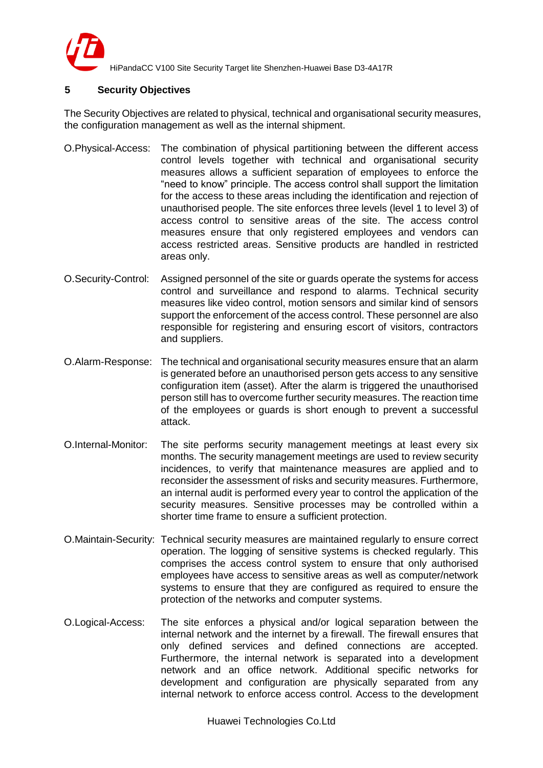

## <span id="page-13-0"></span>**5 Security Objectives**

The Security Objectives are related to physical, technical and organisational security measures, the configuration management as well as the internal shipment.

- O.Physical-Access: The combination of physical partitioning between the different access control levels together with technical and organisational security measures allows a sufficient separation of employees to enforce the "need to know" principle. The access control shall support the limitation for the access to these areas including the identification and rejection of unauthorised people. The site enforces three levels (level 1 to level 3) of access control to sensitive areas of the site. The access control measures ensure that only registered employees and vendors can access restricted areas. Sensitive products are handled in restricted areas only.
- O.Security-Control: Assigned personnel of the site or guards operate the systems for access control and surveillance and respond to alarms. Technical security measures like video control, motion sensors and similar kind of sensors support the enforcement of the access control. These personnel are also responsible for registering and ensuring escort of visitors, contractors and suppliers.
- O.Alarm-Response: The technical and organisational security measures ensure that an alarm is generated before an unauthorised person gets access to any sensitive configuration item (asset). After the alarm is triggered the unauthorised person still has to overcome further security measures. The reaction time of the employees or guards is short enough to prevent a successful attack.
- O.Internal-Monitor: The site performs security management meetings at least every six months. The security management meetings are used to review security incidences, to verify that maintenance measures are applied and to reconsider the assessment of risks and security measures. Furthermore, an internal audit is performed every year to control the application of the security measures. Sensitive processes may be controlled within a shorter time frame to ensure a sufficient protection.
- O.Maintain-Security: Technical security measures are maintained regularly to ensure correct operation. The logging of sensitive systems is checked regularly. This comprises the access control system to ensure that only authorised employees have access to sensitive areas as well as computer/network systems to ensure that they are configured as required to ensure the protection of the networks and computer systems.
- O.Logical-Access: The site enforces a physical and/or logical separation between the internal network and the internet by a firewall. The firewall ensures that only defined services and defined connections are accepted. Furthermore, the internal network is separated into a development network and an office network. Additional specific networks for development and configuration are physically separated from any internal network to enforce access control. Access to the development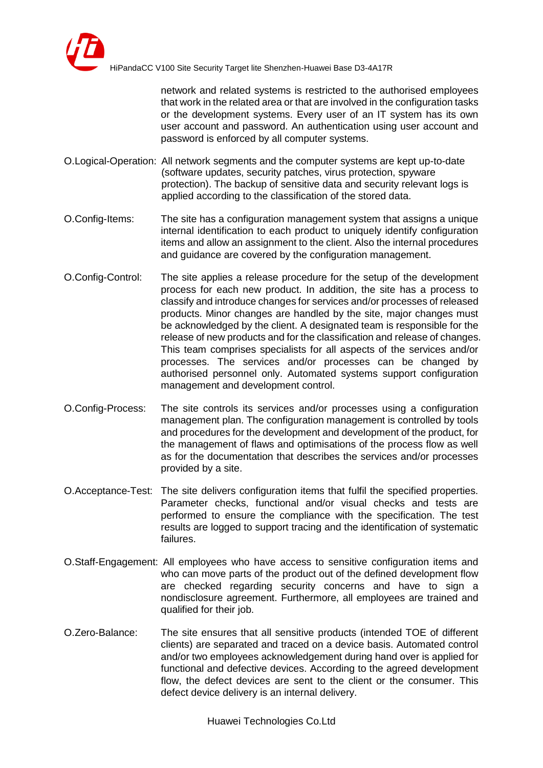

network and related systems is restricted to the authorised employees that work in the related area or that are involved in the configuration tasks or the development systems. Every user of an IT system has its own user account and password. An authentication using user account and password is enforced by all computer systems.

- O.Logical-Operation: All network segments and the computer systems are kept up-to-date (software updates, security patches, virus protection, spyware protection). The backup of sensitive data and security relevant logs is applied according to the classification of the stored data.
- O.Config-Items: The site has a configuration management system that assigns a unique internal identification to each product to uniquely identify configuration items and allow an assignment to the client. Also the internal procedures and guidance are covered by the configuration management.
- O.Config-Control: The site applies a release procedure for the setup of the development process for each new product. In addition, the site has a process to classify and introduce changes for services and/or processes of released products. Minor changes are handled by the site, major changes must be acknowledged by the client. A designated team is responsible for the release of new products and for the classification and release of changes. This team comprises specialists for all aspects of the services and/or processes. The services and/or processes can be changed by authorised personnel only. Automated systems support configuration management and development control.
- O.Config-Process: The site controls its services and/or processes using a configuration management plan. The configuration management is controlled by tools and procedures for the development and development of the product, for the management of flaws and optimisations of the process flow as well as for the documentation that describes the services and/or processes provided by a site.
- O.Acceptance-Test: The site delivers configuration items that fulfil the specified properties. Parameter checks, functional and/or visual checks and tests are performed to ensure the compliance with the specification. The test results are logged to support tracing and the identification of systematic failures.
- O.Staff-Engagement: All employees who have access to sensitive configuration items and who can move parts of the product out of the defined development flow are checked regarding security concerns and have to sign a nondisclosure agreement. Furthermore, all employees are trained and qualified for their job.
- O.Zero-Balance: The site ensures that all sensitive products (intended TOE of different clients) are separated and traced on a device basis. Automated control and/or two employees acknowledgement during hand over is applied for functional and defective devices. According to the agreed development flow, the defect devices are sent to the client or the consumer. This defect device delivery is an internal delivery.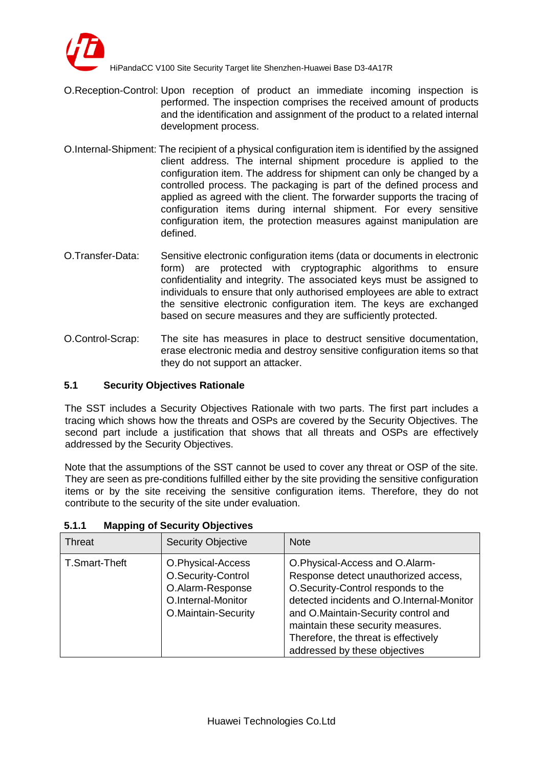

- O.Reception-Control: Upon reception of product an immediate incoming inspection is performed. The inspection comprises the received amount of products and the identification and assignment of the product to a related internal development process.
- O.Internal-Shipment: The recipient of a physical configuration item is identified by the assigned client address. The internal shipment procedure is applied to the configuration item. The address for shipment can only be changed by a controlled process. The packaging is part of the defined process and applied as agreed with the client. The forwarder supports the tracing of configuration items during internal shipment. For every sensitive configuration item, the protection measures against manipulation are defined.
- O.Transfer-Data: Sensitive electronic configuration items (data or documents in electronic form) are protected with cryptographic algorithms to ensure confidentiality and integrity. The associated keys must be assigned to individuals to ensure that only authorised employees are able to extract the sensitive electronic configuration item. The keys are exchanged based on secure measures and they are sufficiently protected.
- O.Control-Scrap: The site has measures in place to destruct sensitive documentation, erase electronic media and destroy sensitive configuration items so that they do not support an attacker.

## <span id="page-15-0"></span>**5.1 Security Objectives Rationale**

The SST includes a Security Objectives Rationale with two parts. The first part includes a tracing which shows how the threats and OSPs are covered by the Security Objectives. The second part include a justification that shows that all threats and OSPs are effectively addressed by the Security Objectives.

Note that the assumptions of the SST cannot be used to cover any threat or OSP of the site. They are seen as pre-conditions fulfilled either by the site providing the sensitive configuration items or by the site receiving the sensitive configuration items. Therefore, they do not contribute to the security of the site under evaluation.

| Threat        | <b>Security Objective</b>                                                                                | <b>Note</b>                                                                                                                                                                                                                                                                                                    |
|---------------|----------------------------------------------------------------------------------------------------------|----------------------------------------------------------------------------------------------------------------------------------------------------------------------------------------------------------------------------------------------------------------------------------------------------------------|
| T.Smart-Theft | O.Physical-Access<br>O.Security-Control<br>O.Alarm-Response<br>O.Internal-Monitor<br>O.Maintain-Security | O.Physical-Access and O.Alarm-<br>Response detect unauthorized access,<br>O.Security-Control responds to the<br>detected incidents and O.Internal-Monitor<br>and O.Maintain-Security control and<br>maintain these security measures.<br>Therefore, the threat is effectively<br>addressed by these objectives |

## **5.1.1 Mapping of Security Objectives**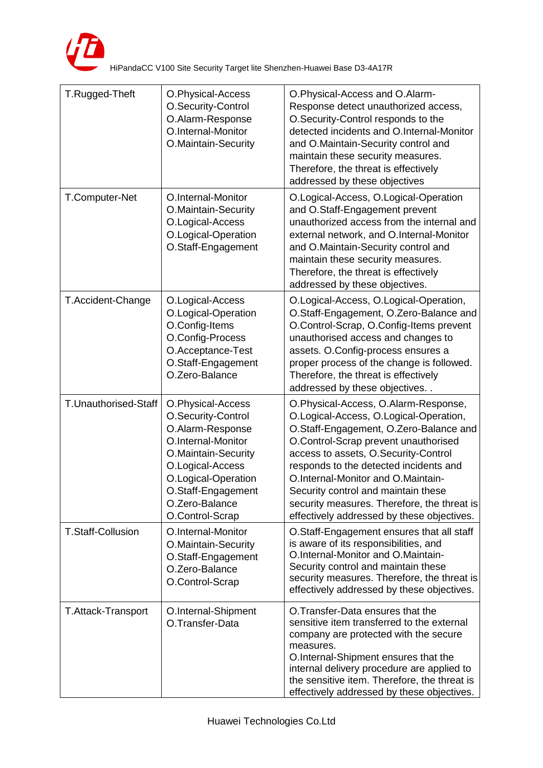

| T.Rugged-Theft           | O.Physical-Access<br>O.Security-Control<br>O.Alarm-Response<br>O.Internal-Monitor<br>O.Maintain-Security                                                                                                       | O.Physical-Access and O.Alarm-<br>Response detect unauthorized access,<br>O.Security-Control responds to the<br>detected incidents and O.Internal-Monitor<br>and O.Maintain-Security control and<br>maintain these security measures.<br>Therefore, the threat is effectively<br>addressed by these objectives                                                                                                               |
|--------------------------|----------------------------------------------------------------------------------------------------------------------------------------------------------------------------------------------------------------|------------------------------------------------------------------------------------------------------------------------------------------------------------------------------------------------------------------------------------------------------------------------------------------------------------------------------------------------------------------------------------------------------------------------------|
| T.Computer-Net           | O.Internal-Monitor<br>O.Maintain-Security<br>O.Logical-Access<br>O.Logical-Operation<br>O.Staff-Engagement                                                                                                     | O.Logical-Access, O.Logical-Operation<br>and O.Staff-Engagement prevent<br>unauthorized access from the internal and<br>external network, and O.Internal-Monitor<br>and O.Maintain-Security control and<br>maintain these security measures.<br>Therefore, the threat is effectively<br>addressed by these objectives.                                                                                                       |
| T.Accident-Change        | O.Logical-Access<br>O.Logical-Operation<br>O.Config-Items<br>O.Config-Process<br>O.Acceptance-Test<br>O.Staff-Engagement<br>O.Zero-Balance                                                                     | O.Logical-Access, O.Logical-Operation,<br>O.Staff-Engagement, O.Zero-Balance and<br>O.Control-Scrap, O.Config-Items prevent<br>unauthorised access and changes to<br>assets. O.Config-process ensures a<br>proper process of the change is followed.<br>Therefore, the threat is effectively<br>addressed by these objectives                                                                                                |
| T.Unauthorised-Staff     | O.Physical-Access<br>O.Security-Control<br>O.Alarm-Response<br>O.Internal-Monitor<br>O.Maintain-Security<br>O.Logical-Access<br>O.Logical-Operation<br>O.Staff-Engagement<br>O.Zero-Balance<br>O.Control-Scrap | O.Physical-Access, O.Alarm-Response,<br>O.Logical-Access, O.Logical-Operation,<br>O.Staff-Engagement, O.Zero-Balance and<br>O.Control-Scrap prevent unauthorised<br>access to assets, O.Security-Control<br>responds to the detected incidents and<br>O.Internal-Monitor and O.Maintain-<br>Security control and maintain these<br>security measures. Therefore, the threat is<br>effectively addressed by these objectives. |
| <b>T.Staff-Collusion</b> | O.Internal-Monitor<br>O.Maintain-Security<br>O.Staff-Engagement<br>O.Zero-Balance<br>O.Control-Scrap                                                                                                           | O.Staff-Engagement ensures that all staff<br>is aware of its responsibilities, and<br>O.Internal-Monitor and O.Maintain-<br>Security control and maintain these<br>security measures. Therefore, the threat is<br>effectively addressed by these objectives.                                                                                                                                                                 |
| T.Attack-Transport       | O.Internal-Shipment<br>O.Transfer-Data                                                                                                                                                                         | O. Transfer-Data ensures that the<br>sensitive item transferred to the external<br>company are protected with the secure<br>measures.<br>O.Internal-Shipment ensures that the<br>internal delivery procedure are applied to<br>the sensitive item. Therefore, the threat is<br>effectively addressed by these objectives.                                                                                                    |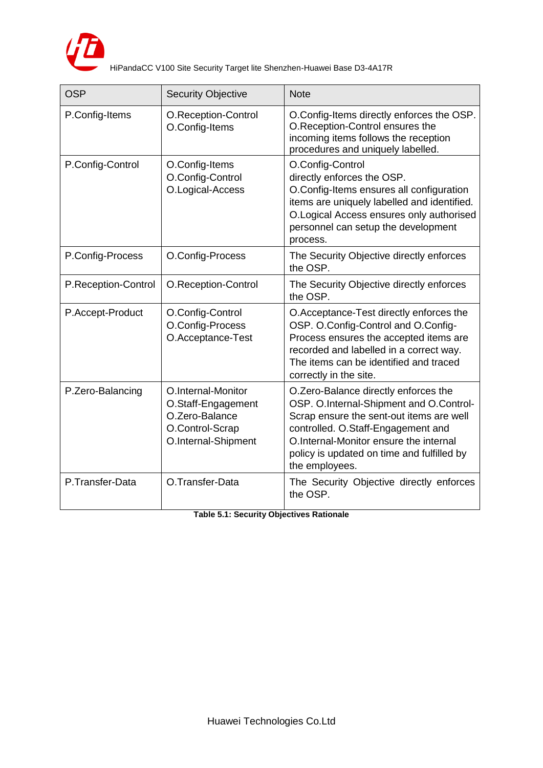

| <b>OSP</b>          | <b>Security Objective</b>                                                                            | <b>Note</b>                                                                                                                                                                                                                                                                 |
|---------------------|------------------------------------------------------------------------------------------------------|-----------------------------------------------------------------------------------------------------------------------------------------------------------------------------------------------------------------------------------------------------------------------------|
| P.Config-Items      | O.Reception-Control<br>O.Config-Items                                                                | O.Config-Items directly enforces the OSP.<br>O.Reception-Control ensures the<br>incoming items follows the reception<br>procedures and uniquely labelled.                                                                                                                   |
| P.Config-Control    | O.Config-Items<br>O.Config-Control<br>O.Logical-Access                                               | O.Config-Control<br>directly enforces the OSP.<br>O.Config-Items ensures all configuration<br>items are uniquely labelled and identified.<br>O. Logical Access ensures only authorised<br>personnel can setup the development<br>process.                                   |
| P.Config-Process    | O.Config-Process                                                                                     | The Security Objective directly enforces<br>the OSP.                                                                                                                                                                                                                        |
| P.Reception-Control | O.Reception-Control                                                                                  | The Security Objective directly enforces<br>the OSP.                                                                                                                                                                                                                        |
| P.Accept-Product    | O.Config-Control<br>O.Config-Process<br>O.Acceptance-Test                                            | O.Acceptance-Test directly enforces the<br>OSP. O.Config-Control and O.Config-<br>Process ensures the accepted items are<br>recorded and labelled in a correct way.<br>The items can be identified and traced<br>correctly in the site.                                     |
| P.Zero-Balancing    | O.Internal-Monitor<br>O.Staff-Engagement<br>O.Zero-Balance<br>O.Control-Scrap<br>O.Internal-Shipment | O.Zero-Balance directly enforces the<br>OSP. O.Internal-Shipment and O.Control-<br>Scrap ensure the sent-out items are well<br>controlled. O.Staff-Engagement and<br>O.Internal-Monitor ensure the internal<br>policy is updated on time and fulfilled by<br>the employees. |
| P.Transfer-Data     | O.Transfer-Data                                                                                      | The Security Objective directly enforces<br>the OSP.                                                                                                                                                                                                                        |

**Table 5.1: Security Objectives Rationale**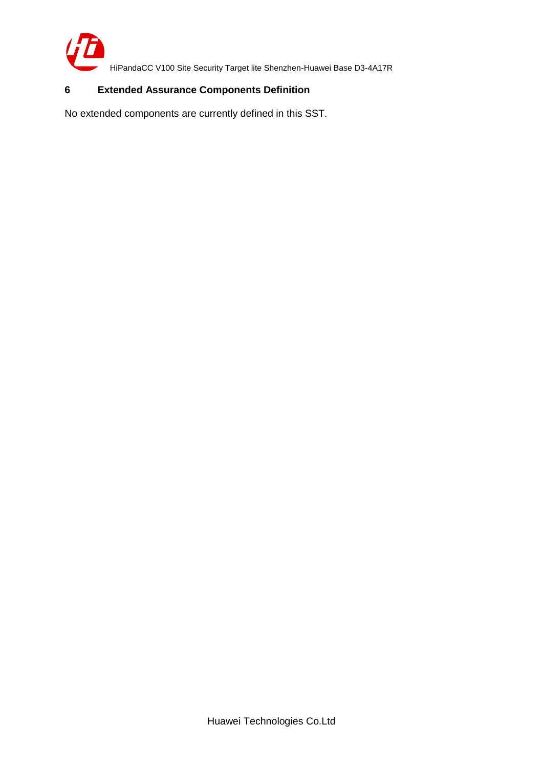

## <span id="page-18-0"></span>**6 Extended Assurance Components Definition**

No extended components are currently defined in this SST.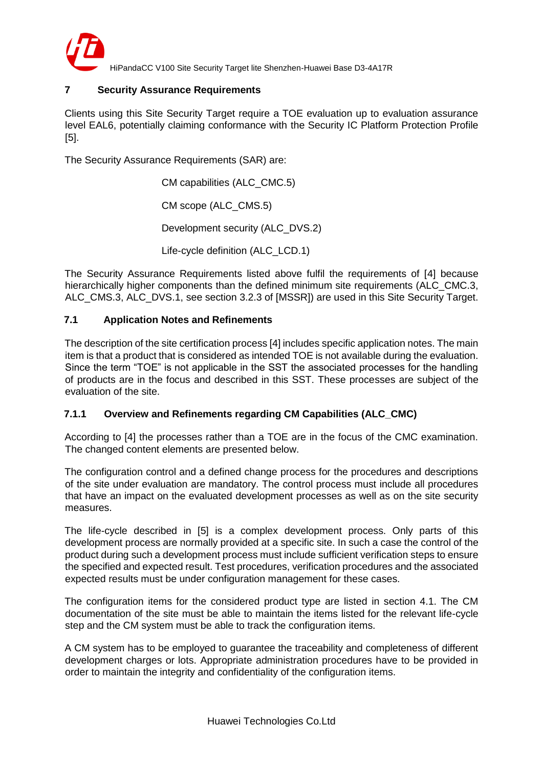

## <span id="page-19-0"></span>**7 Security Assurance Requirements**

Clients using this Site Security Target require a TOE evaluation up to evaluation assurance level EAL6, potentially claiming conformance with the Security IC Platform Protection Profile [5].

The Security Assurance Requirements (SAR) are:

CM capabilities (ALC\_CMC.5) CM scope (ALC\_CMS.5) Development security (ALC\_DVS.2) Life-cycle definition (ALC\_LCD.1)

The Security Assurance Requirements listed above fulfil the requirements of [4] because hierarchically higher components than the defined minimum site requirements (ALC\_CMC.3, ALC CMS.3, ALC DVS.1, see section 3.2.3 of [MSSR]) are used in this Site Security Target.

### <span id="page-19-1"></span>**7.1 Application Notes and Refinements**

The description of the site certification process [4] includes specific application notes. The main item is that a product that is considered as intended TOE is not available during the evaluation. Since the term "TOE" is not applicable in the SST the associated processes for the handling of products are in the focus and described in this SST. These processes are subject of the evaluation of the site.

#### **7.1.1 Overview and Refinements regarding CM Capabilities (ALC\_CMC)**

According to [4] the processes rather than a TOE are in the focus of the CMC examination. The changed content elements are presented below.

The configuration control and a defined change process for the procedures and descriptions of the site under evaluation are mandatory. The control process must include all procedures that have an impact on the evaluated development processes as well as on the site security measures.

The life-cycle described in [5] is a complex development process. Only parts of this development process are normally provided at a specific site. In such a case the control of the product during such a development process must include sufficient verification steps to ensure the specified and expected result. Test procedures, verification procedures and the associated expected results must be under configuration management for these cases.

The configuration items for the considered product type are listed in section 4.1. The CM documentation of the site must be able to maintain the items listed for the relevant life-cycle step and the CM system must be able to track the configuration items.

A CM system has to be employed to guarantee the traceability and completeness of different development charges or lots. Appropriate administration procedures have to be provided in order to maintain the integrity and confidentiality of the configuration items.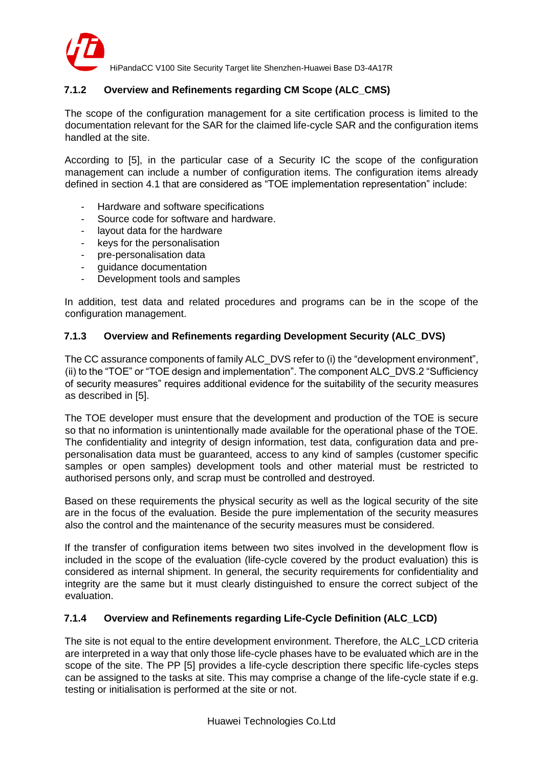

## **7.1.2 Overview and Refinements regarding CM Scope (ALC\_CMS)**

The scope of the configuration management for a site certification process is limited to the documentation relevant for the SAR for the claimed life-cycle SAR and the configuration items handled at the site.

According to [5], in the particular case of a Security IC the scope of the configuration management can include a number of configuration items. The configuration items already defined in section 4.1 that are considered as "TOE implementation representation" include:

- Hardware and software specifications
- Source code for software and hardware.
- layout data for the hardware
- keys for the personalisation
- pre-personalisation data
- guidance documentation
- Development tools and samples

In addition, test data and related procedures and programs can be in the scope of the configuration management.

### **7.1.3 Overview and Refinements regarding Development Security (ALC\_DVS)**

The CC assurance components of family ALC\_DVS refer to (i) the "development environment", (ii) to the "TOE" or "TOE design and implementation". The component ALC\_DVS.2 "Sufficiency of security measures" requires additional evidence for the suitability of the security measures as described in [5].

The TOE developer must ensure that the development and production of the TOE is secure so that no information is unintentionally made available for the operational phase of the TOE. The confidentiality and integrity of design information, test data, configuration data and prepersonalisation data must be guaranteed, access to any kind of samples (customer specific samples or open samples) development tools and other material must be restricted to authorised persons only, and scrap must be controlled and destroyed.

Based on these requirements the physical security as well as the logical security of the site are in the focus of the evaluation. Beside the pure implementation of the security measures also the control and the maintenance of the security measures must be considered.

If the transfer of configuration items between two sites involved in the development flow is included in the scope of the evaluation (life-cycle covered by the product evaluation) this is considered as internal shipment. In general, the security requirements for confidentiality and integrity are the same but it must clearly distinguished to ensure the correct subject of the evaluation.

## **7.1.4 Overview and Refinements regarding Life-Cycle Definition (ALC\_LCD)**

The site is not equal to the entire development environment. Therefore, the ALC\_LCD criteria are interpreted in a way that only those life-cycle phases have to be evaluated which are in the scope of the site. The PP [5] provides a life-cycle description there specific life-cycles steps can be assigned to the tasks at site. This may comprise a change of the life-cycle state if e.g. testing or initialisation is performed at the site or not.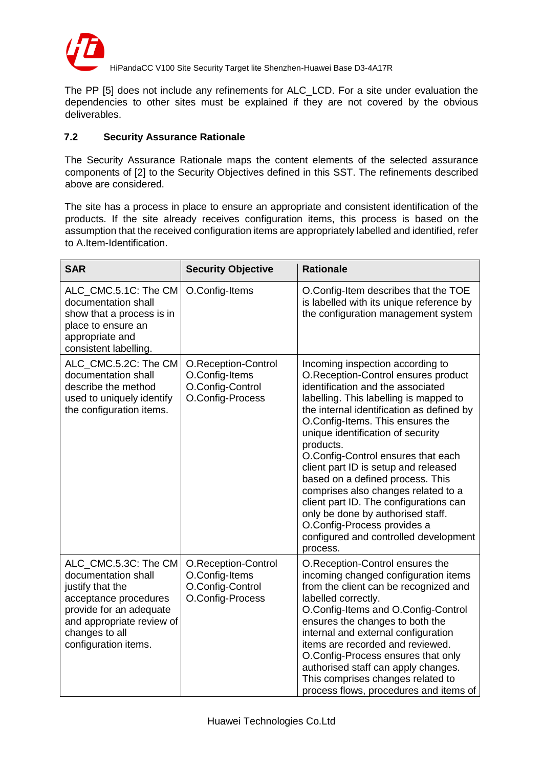

The PP [5] does not include any refinements for ALC\_LCD. For a site under evaluation the dependencies to other sites must be explained if they are not covered by the obvious deliverables.

### <span id="page-21-0"></span>**7.2 Security Assurance Rationale**

The Security Assurance Rationale maps the content elements of the selected assurance components of [2] to the Security Objectives defined in this SST. The refinements described above are considered.

The site has a process in place to ensure an appropriate and consistent identification of the products. If the site already receives configuration items, this process is based on the assumption that the received configuration items are appropriately labelled and identified, refer to A.Item-Identification.

| <b>SAR</b>                                                                                                                                                                                 | <b>Security Objective</b>                                                     | <b>Rationale</b>                                                                                                                                                                                                                                                                                                                                                                                                                                                                                                                                                                                                      |
|--------------------------------------------------------------------------------------------------------------------------------------------------------------------------------------------|-------------------------------------------------------------------------------|-----------------------------------------------------------------------------------------------------------------------------------------------------------------------------------------------------------------------------------------------------------------------------------------------------------------------------------------------------------------------------------------------------------------------------------------------------------------------------------------------------------------------------------------------------------------------------------------------------------------------|
| ALC CMC.5.1C: The CM<br>documentation shall<br>show that a process is in<br>place to ensure an<br>appropriate and<br>consistent labelling.                                                 | O.Config-Items                                                                | O.Config-Item describes that the TOE<br>is labelled with its unique reference by<br>the configuration management system                                                                                                                                                                                                                                                                                                                                                                                                                                                                                               |
| ALC_CMC.5.2C: The CM<br>documentation shall<br>describe the method<br>used to uniquely identify<br>the configuration items.                                                                | O.Reception-Control<br>O.Config-Items<br>O.Config-Control<br>O.Config-Process | Incoming inspection according to<br>O.Reception-Control ensures product<br>identification and the associated<br>labelling. This labelling is mapped to<br>the internal identification as defined by<br>O.Config-Items. This ensures the<br>unique identification of security<br>products.<br>O.Config-Control ensures that each<br>client part ID is setup and released<br>based on a defined process. This<br>comprises also changes related to a<br>client part ID. The configurations can<br>only be done by authorised staff.<br>O.Config-Process provides a<br>configured and controlled development<br>process. |
| ALC_CMC.5.3C: The CM<br>documentation shall<br>justify that the<br>acceptance procedures<br>provide for an adequate<br>and appropriate review of<br>changes to all<br>configuration items. | O.Reception-Control<br>O.Config-Items<br>O.Config-Control<br>O.Config-Process | O.Reception-Control ensures the<br>incoming changed configuration items<br>from the client can be recognized and<br>labelled correctly.<br>O.Config-Items and O.Config-Control<br>ensures the changes to both the<br>internal and external configuration<br>items are recorded and reviewed.<br>O.Config-Process ensures that only<br>authorised staff can apply changes.<br>This comprises changes related to<br>process flows, procedures and items of                                                                                                                                                              |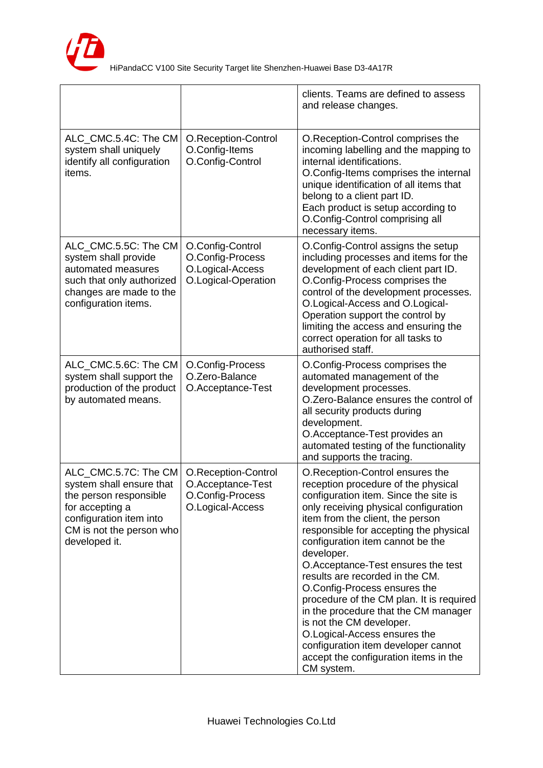

|                                                                                                                                                                       |                                                                                  | clients. Teams are defined to assess<br>and release changes.                                                                                                                                                                                                                                                                                                                                                                                                                                                                                                                                                                                    |
|-----------------------------------------------------------------------------------------------------------------------------------------------------------------------|----------------------------------------------------------------------------------|-------------------------------------------------------------------------------------------------------------------------------------------------------------------------------------------------------------------------------------------------------------------------------------------------------------------------------------------------------------------------------------------------------------------------------------------------------------------------------------------------------------------------------------------------------------------------------------------------------------------------------------------------|
| ALC_CMC.5.4C: The CM<br>system shall uniquely<br>identify all configuration<br>items.                                                                                 | O.Reception-Control<br>O.Config-Items<br>O.Config-Control                        | O.Reception-Control comprises the<br>incoming labelling and the mapping to<br>internal identifications.<br>O.Config-Items comprises the internal<br>unique identification of all items that<br>belong to a client part ID.<br>Each product is setup according to<br>O.Config-Control comprising all<br>necessary items.                                                                                                                                                                                                                                                                                                                         |
| ALC_CMC.5.5C: The CM<br>system shall provide<br>automated measures<br>such that only authorized<br>changes are made to the<br>configuration items.                    | O.Config-Control<br>O.Config-Process<br>O.Logical-Access<br>O.Logical-Operation  | O.Config-Control assigns the setup<br>including processes and items for the<br>development of each client part ID.<br>O.Config-Process comprises the<br>control of the development processes.<br>O.Logical-Access and O.Logical-<br>Operation support the control by<br>limiting the access and ensuring the<br>correct operation for all tasks to<br>authorised staff.                                                                                                                                                                                                                                                                         |
| ALC_CMC.5.6C: The CM<br>system shall support the<br>production of the product<br>by automated means.                                                                  | O.Config-Process<br>O.Zero-Balance<br>O.Acceptance-Test                          | O.Config-Process comprises the<br>automated management of the<br>development processes.<br>O.Zero-Balance ensures the control of<br>all security products during<br>development.<br>O.Acceptance-Test provides an<br>automated testing of the functionality<br>and supports the tracing.                                                                                                                                                                                                                                                                                                                                                        |
| ALC_CMC.5.7C: The CM<br>system shall ensure that<br>the person responsible<br>for accepting a<br>configuration item into<br>CM is not the person who<br>developed it. | O.Reception-Control<br>O.Acceptance-Test<br>O.Config-Process<br>O.Logical-Access | O.Reception-Control ensures the<br>reception procedure of the physical<br>configuration item. Since the site is<br>only receiving physical configuration<br>item from the client, the person<br>responsible for accepting the physical<br>configuration item cannot be the<br>developer.<br>O.Acceptance-Test ensures the test<br>results are recorded in the CM.<br>O.Config-Process ensures the<br>procedure of the CM plan. It is required<br>in the procedure that the CM manager<br>is not the CM developer.<br>O.Logical-Access ensures the<br>configuration item developer cannot<br>accept the configuration items in the<br>CM system. |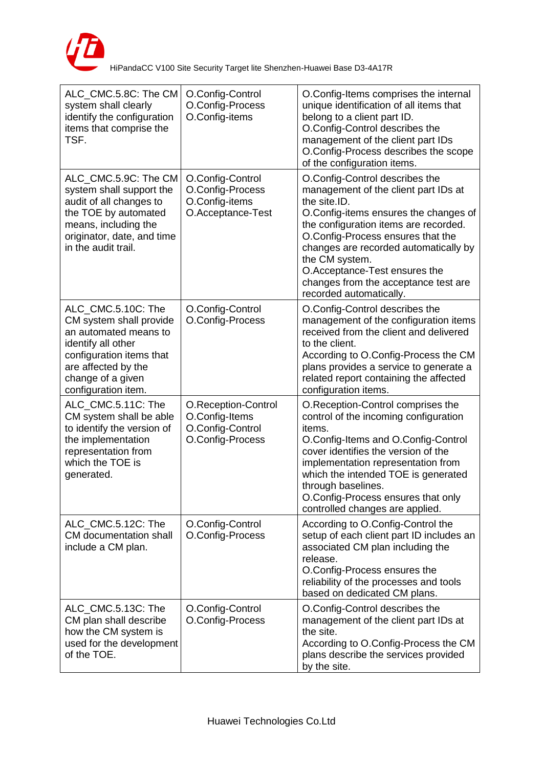

| ALC_CMC.5.8C: The CM<br>system shall clearly<br>identify the configuration<br>items that comprise the<br>TSF.                                                                               | O.Config-Control<br>O.Config-Process<br>O.Config-items                        | O.Config-Items comprises the internal<br>unique identification of all items that<br>belong to a client part ID.<br>O.Config-Control describes the<br>management of the client part IDs<br>O.Config-Process describes the scope<br>of the configuration items.                                                                                                                |
|---------------------------------------------------------------------------------------------------------------------------------------------------------------------------------------------|-------------------------------------------------------------------------------|------------------------------------------------------------------------------------------------------------------------------------------------------------------------------------------------------------------------------------------------------------------------------------------------------------------------------------------------------------------------------|
| ALC_CMC.5.9C: The CM<br>system shall support the<br>audit of all changes to<br>the TOE by automated<br>means, including the<br>originator, date, and time<br>in the audit trail.            | O.Config-Control<br>O.Config-Process<br>O.Config-items<br>O.Acceptance-Test   | O.Config-Control describes the<br>management of the client part IDs at<br>the site.ID.<br>O.Config-items ensures the changes of<br>the configuration items are recorded.<br>O.Config-Process ensures that the<br>changes are recorded automatically by<br>the CM system.<br>O.Acceptance-Test ensures the<br>changes from the acceptance test are<br>recorded automatically. |
| ALC_CMC.5.10C: The<br>CM system shall provide<br>an automated means to<br>identify all other<br>configuration items that<br>are affected by the<br>change of a given<br>configuration item. | O.Config-Control<br>O.Config-Process                                          | O.Config-Control describes the<br>management of the configuration items<br>received from the client and delivered<br>to the client.<br>According to O.Config-Process the CM<br>plans provides a service to generate a<br>related report containing the affected<br>configuration items.                                                                                      |
| ALC CMC.5.11C: The<br>CM system shall be able<br>to identify the version of<br>the implementation<br>representation from<br>which the TOE is<br>generated.                                  | O.Reception-Control<br>O.Config-Items<br>O.Config-Control<br>O.Config-Process | O.Reception-Control comprises the<br>control of the incoming configuration<br>items.<br>O.Config-Items and O.Config-Control<br>cover identifies the version of the<br>implementation representation from<br>which the intended TOE is generated<br>through baselines.<br>O.Config-Process ensures that only<br>controlled changes are applied.                               |
| ALC_CMC.5.12C: The<br>CM documentation shall<br>include a CM plan.                                                                                                                          | O.Config-Control<br>O.Config-Process                                          | According to O.Config-Control the<br>setup of each client part ID includes an<br>associated CM plan including the<br>release.<br>O.Config-Process ensures the<br>reliability of the processes and tools<br>based on dedicated CM plans.                                                                                                                                      |
| ALC_CMC.5.13C: The<br>CM plan shall describe<br>how the CM system is<br>used for the development<br>of the TOE.                                                                             | O.Config-Control<br>O.Config-Process                                          | O.Config-Control describes the<br>management of the client part IDs at<br>the site.<br>According to O.Config-Process the CM<br>plans describe the services provided<br>by the site.                                                                                                                                                                                          |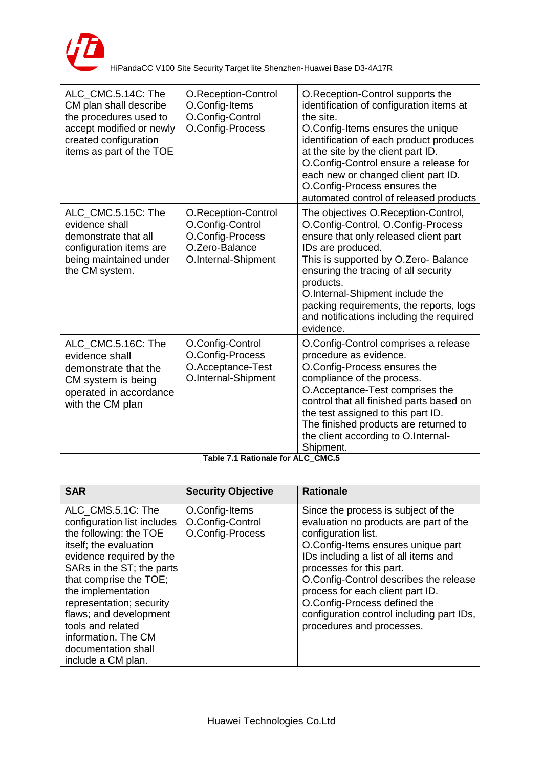

| ALC_CMC.5.14C: The<br>CM plan shall describe<br>the procedures used to<br>accept modified or newly<br>created configuration<br>items as part of the TOE | O.Reception-Control<br>O.Config-Items<br>O.Config-Control<br>O.Config-Process                        | O.Reception-Control supports the<br>identification of configuration items at<br>the site.<br>O.Config-Items ensures the unique<br>identification of each product produces<br>at the site by the client part ID.<br>O.Config-Control ensure a release for<br>each new or changed client part ID.<br>O.Config-Process ensures the<br>automated control of released products  |
|---------------------------------------------------------------------------------------------------------------------------------------------------------|------------------------------------------------------------------------------------------------------|----------------------------------------------------------------------------------------------------------------------------------------------------------------------------------------------------------------------------------------------------------------------------------------------------------------------------------------------------------------------------|
| ALC_CMC.5.15C: The<br>evidence shall<br>demonstrate that all<br>configuration items are<br>being maintained under<br>the CM system.                     | O.Reception-Control<br>O.Config-Control<br>O.Config-Process<br>O.Zero-Balance<br>O.Internal-Shipment | The objectives O.Reception-Control,<br>O.Config-Control, O.Config-Process<br>ensure that only released client part<br>IDs are produced.<br>This is supported by O.Zero-Balance<br>ensuring the tracing of all security<br>products.<br>O.Internal-Shipment include the<br>packing requirements, the reports, logs<br>and notifications including the required<br>evidence. |
| ALC_CMC.5.16C: The<br>evidence shall<br>demonstrate that the<br>CM system is being<br>operated in accordance<br>with the CM plan                        | O.Config-Control<br>O.Config-Process<br>O.Acceptance-Test<br>O.Internal-Shipment                     | O.Config-Control comprises a release<br>procedure as evidence.<br>O.Config-Process ensures the<br>compliance of the process.<br>O.Acceptance-Test comprises the<br>control that all finished parts based on<br>the test assigned to this part ID.<br>The finished products are returned to<br>the client according to O.Internal-<br>Shipment.                             |

**Table 7.1 Rationale for ALC\_CMC.5**

| <b>SAR</b>                                                                                                                                                                                                                                                                                                                                                   | <b>Security Objective</b>                              | <b>Rationale</b>                                                                                                                                                                                                                                                                                                                                                                                        |
|--------------------------------------------------------------------------------------------------------------------------------------------------------------------------------------------------------------------------------------------------------------------------------------------------------------------------------------------------------------|--------------------------------------------------------|---------------------------------------------------------------------------------------------------------------------------------------------------------------------------------------------------------------------------------------------------------------------------------------------------------------------------------------------------------------------------------------------------------|
| ALC_CMS.5.1C: The<br>configuration list includes<br>the following: the TOE<br>itself; the evaluation<br>evidence required by the<br>SARs in the ST; the parts<br>that comprise the TOE;<br>the implementation<br>representation; security<br>flaws; and development<br>tools and related<br>information. The CM<br>documentation shall<br>include a CM plan. | O.Config-Items<br>O.Config-Control<br>O.Config-Process | Since the process is subject of the<br>evaluation no products are part of the<br>configuration list.<br>O.Config-Items ensures unique part<br>IDs including a list of all items and<br>processes for this part.<br>O.Config-Control describes the release<br>process for each client part ID.<br>O.Config-Process defined the<br>configuration control including part IDs,<br>procedures and processes. |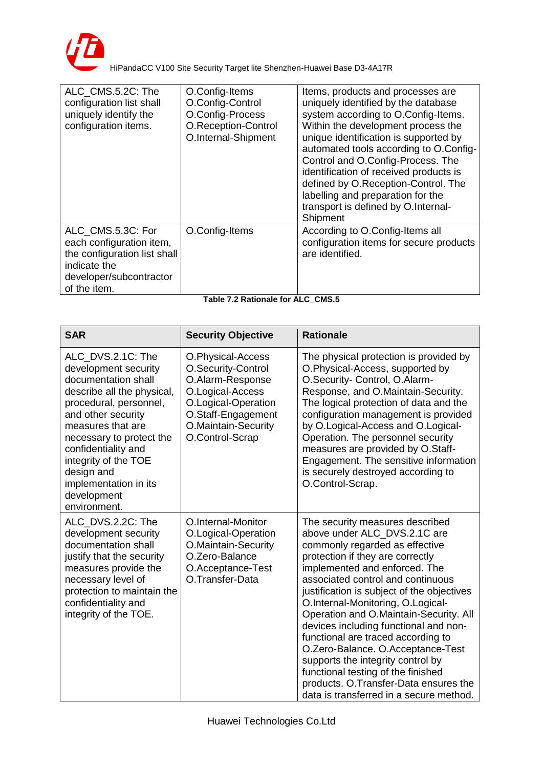

| ALC CMS.5.2C: The<br>configuration list shall<br>uniquely identify the<br>configuration items.                                           | O.Config-Items<br>O.Config-Control<br>O.Config-Process<br>O.Reception-Control<br>O.Internal-Shipment | Items, products and processes are<br>uniquely identified by the database<br>system according to O.Config-Items.<br>Within the development process the<br>unique identification is supported by<br>automated tools according to O.Config-<br>Control and O.Config-Process. The<br>identification of received products is<br>defined by O.Reception-Control. The<br>labelling and preparation for the<br>transport is defined by O.Internal-<br>Shipment |
|------------------------------------------------------------------------------------------------------------------------------------------|------------------------------------------------------------------------------------------------------|--------------------------------------------------------------------------------------------------------------------------------------------------------------------------------------------------------------------------------------------------------------------------------------------------------------------------------------------------------------------------------------------------------------------------------------------------------|
| ALC CMS.5.3C: For<br>each configuration item,<br>the configuration list shall<br>indicate the<br>developer/subcontractor<br>of the item. | O.Config-Items                                                                                       | According to O.Config-Items all<br>configuration items for secure products<br>are identified.                                                                                                                                                                                                                                                                                                                                                          |

| Table 7.2 Rationale for ALC CMS.5 |  |
|-----------------------------------|--|
|-----------------------------------|--|

| <b>SAR</b>                                                                                                                                                                                                                                                                                                           | <b>Security Objective</b>                                                                                                                                              | <b>Rationale</b>                                                                                                                                                                                                                                                                                                                                                                                                                                                                                                                                                                                                            |
|----------------------------------------------------------------------------------------------------------------------------------------------------------------------------------------------------------------------------------------------------------------------------------------------------------------------|------------------------------------------------------------------------------------------------------------------------------------------------------------------------|-----------------------------------------------------------------------------------------------------------------------------------------------------------------------------------------------------------------------------------------------------------------------------------------------------------------------------------------------------------------------------------------------------------------------------------------------------------------------------------------------------------------------------------------------------------------------------------------------------------------------------|
| ALC DVS.2.1C: The<br>development security<br>documentation shall<br>describe all the physical,<br>procedural, personnel,<br>and other security<br>measures that are<br>necessary to protect the<br>confidentiality and<br>integrity of the TOE<br>design and<br>implementation in its<br>development<br>environment. | O.Physical-Access<br>O.Security-Control<br>O.Alarm-Response<br>O.Logical-Access<br>O.Logical-Operation<br>O.Staff-Engagement<br>O.Maintain-Security<br>O.Control-Scrap | The physical protection is provided by<br>O.Physical-Access, supported by<br>O.Security- Control, O.Alarm-<br>Response, and O.Maintain-Security.<br>The logical protection of data and the<br>configuration management is provided<br>by O.Logical-Access and O.Logical-<br>Operation. The personnel security<br>measures are provided by O.Staff-<br>Engagement. The sensitive information<br>is securely destroyed according to<br>O.Control-Scrap.                                                                                                                                                                       |
| ALC_DVS.2.2C: The<br>development security<br>documentation shall<br>justify that the security<br>measures provide the<br>necessary level of<br>protection to maintain the<br>confidentiality and<br>integrity of the TOE.                                                                                            | O.Internal-Monitor<br>O.Logical-Operation<br>O.Maintain-Security<br>O.Zero-Balance<br>O.Acceptance-Test<br>O.Transfer-Data                                             | The security measures described<br>above under ALC_DVS.2.1C are<br>commonly regarded as effective<br>protection if they are correctly<br>implemented and enforced. The<br>associated control and continuous<br>justification is subject of the objectives<br>O.Internal-Monitoring, O.Logical-<br>Operation and O.Maintain-Security. All<br>devices including functional and non-<br>functional are traced according to<br>O.Zero-Balance. O.Acceptance-Test<br>supports the integrity control by<br>functional testing of the finished<br>products. O.Transfer-Data ensures the<br>data is transferred in a secure method. |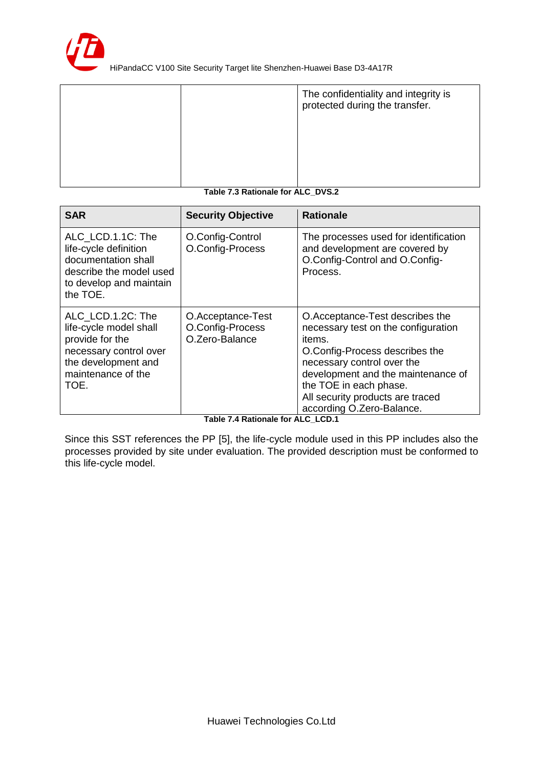

|                     | The confidentiality and integrity is<br>protected during the transfer. |
|---------------------|------------------------------------------------------------------------|
|                     |                                                                        |
|                     |                                                                        |
| .<br>_ _ _<br>- - - | ---                                                                    |

#### **Table 7.3 Rationale for ALC\_DVS.2**

| <b>SAR</b>                                                                                                                                    | <b>Security Objective</b>                               | <b>Rationale</b>                                                                                                                                                                                                                                                                  |
|-----------------------------------------------------------------------------------------------------------------------------------------------|---------------------------------------------------------|-----------------------------------------------------------------------------------------------------------------------------------------------------------------------------------------------------------------------------------------------------------------------------------|
| ALC LCD.1.1C: The<br>life-cycle definition<br>documentation shall<br>describe the model used<br>to develop and maintain<br>the TOE.           | O.Config-Control<br>O.Config-Process                    | The processes used for identification<br>and development are covered by<br>O.Config-Control and O.Config-<br>Process.                                                                                                                                                             |
| ALC LCD.1.2C: The<br>life-cycle model shall<br>provide for the<br>necessary control over<br>the development and<br>maintenance of the<br>TOE. | O.Acceptance-Test<br>O.Config-Process<br>O.Zero-Balance | O.Acceptance-Test describes the<br>necessary test on the configuration<br>items.<br>O.Config-Process describes the<br>necessary control over the<br>development and the maintenance of<br>the TOE in each phase.<br>All security products are traced<br>according O.Zero-Balance. |

**Table 7.4 Rationale for ALC\_LCD.1** 

Since this SST references the PP [5], the life-cycle module used in this PP includes also the processes provided by site under evaluation. The provided description must be conformed to this life-cycle model.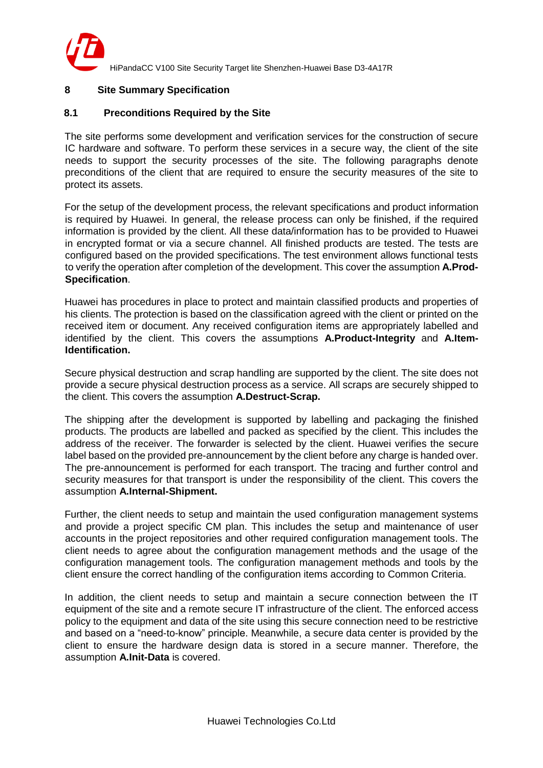

## <span id="page-27-0"></span>**8 Site Summary Specification**

#### <span id="page-27-1"></span>**8.1 Preconditions Required by the Site**

The site performs some development and verification services for the construction of secure IC hardware and software. To perform these services in a secure way, the client of the site needs to support the security processes of the site. The following paragraphs denote preconditions of the client that are required to ensure the security measures of the site to protect its assets.

For the setup of the development process, the relevant specifications and product information is required by Huawei. In general, the release process can only be finished, if the required information is provided by the client. All these data/information has to be provided to Huawei in encrypted format or via a secure channel. All finished products are tested. The tests are configured based on the provided specifications. The test environment allows functional tests to verify the operation after completion of the development. This cover the assumption **A.Prod-Specification**.

Huawei has procedures in place to protect and maintain classified products and properties of his clients. The protection is based on the classification agreed with the client or printed on the received item or document. Any received configuration items are appropriately labelled and identified by the client. This covers the assumptions **A.Product-Integrity** and **A.Item-Identification.**

Secure physical destruction and scrap handling are supported by the client. The site does not provide a secure physical destruction process as a service. All scraps are securely shipped to the client. This covers the assumption **A.Destruct-Scrap.**

The shipping after the development is supported by labelling and packaging the finished products. The products are labelled and packed as specified by the client. This includes the address of the receiver. The forwarder is selected by the client. Huawei verifies the secure label based on the provided pre-announcement by the client before any charge is handed over. The pre-announcement is performed for each transport. The tracing and further control and security measures for that transport is under the responsibility of the client. This covers the assumption **A.Internal-Shipment.**

Further, the client needs to setup and maintain the used configuration management systems and provide a project specific CM plan. This includes the setup and maintenance of user accounts in the project repositories and other required configuration management tools. The client needs to agree about the configuration management methods and the usage of the configuration management tools. The configuration management methods and tools by the client ensure the correct handling of the configuration items according to Common Criteria.

In addition, the client needs to setup and maintain a secure connection between the IT equipment of the site and a remote secure IT infrastructure of the client. The enforced access policy to the equipment and data of the site using this secure connection need to be restrictive and based on a "need-to-know" principle. Meanwhile, a secure data center is provided by the client to ensure the hardware design data is stored in a secure manner. Therefore, the assumption **A.Init-Data** is covered.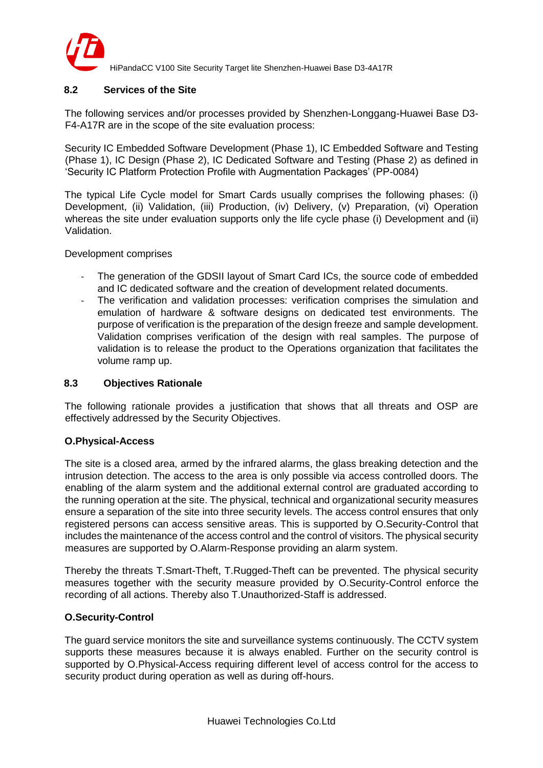

## <span id="page-28-0"></span>**8.2 Services of the Site**

The following services and/or processes provided by Shenzhen-Longgang-Huawei Base D3- F4-A17R are in the scope of the site evaluation process:

Security IC Embedded Software Development (Phase 1), IC Embedded Software and Testing (Phase 1), IC Design (Phase 2), IC Dedicated Software and Testing (Phase 2) as defined in 'Security IC Platform Protection Profile with Augmentation Packages' (PP-0084)

The typical Life Cycle model for Smart Cards usually comprises the following phases: (i) Development, (ii) Validation, (iii) Production, (iv) Delivery, (v) Preparation, (vi) Operation whereas the site under evaluation supports only the life cycle phase (i) Development and (ii) Validation.

Development comprises

- The generation of the GDSII layout of Smart Card ICs, the source code of embedded and IC dedicated software and the creation of development related documents.
- The verification and validation processes: verification comprises the simulation and emulation of hardware & software designs on dedicated test environments. The purpose of verification is the preparation of the design freeze and sample development. Validation comprises verification of the design with real samples. The purpose of validation is to release the product to the Operations organization that facilitates the volume ramp up.

#### <span id="page-28-1"></span>**8.3 Objectives Rationale**

The following rationale provides a justification that shows that all threats and OSP are effectively addressed by the Security Objectives.

#### **O.Physical-Access**

The site is a closed area, armed by the infrared alarms, the glass breaking detection and the intrusion detection. The access to the area is only possible via access controlled doors. The enabling of the alarm system and the additional external control are graduated according to the running operation at the site. The physical, technical and organizational security measures ensure a separation of the site into three security levels. The access control ensures that only registered persons can access sensitive areas. This is supported by O.Security-Control that includes the maintenance of the access control and the control of visitors. The physical security measures are supported by O.Alarm-Response providing an alarm system.

Thereby the threats T.Smart-Theft, T.Rugged-Theft can be prevented. The physical security measures together with the security measure provided by O.Security-Control enforce the recording of all actions. Thereby also T.Unauthorized-Staff is addressed.

#### **O.Security-Control**

The guard service monitors the site and surveillance systems continuously. The CCTV system supports these measures because it is always enabled. Further on the security control is supported by O.Physical-Access requiring different level of access control for the access to security product during operation as well as during off-hours.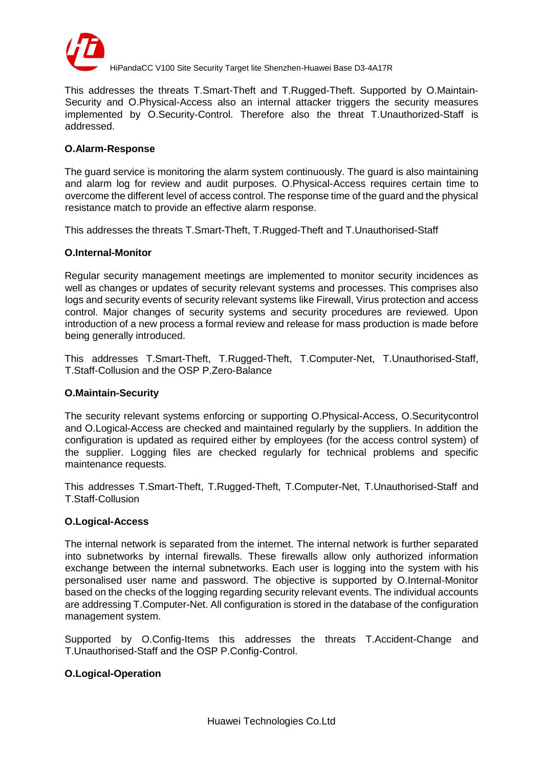

This addresses the threats T.Smart-Theft and T.Rugged-Theft. Supported by O.Maintain-Security and O.Physical-Access also an internal attacker triggers the security measures implemented by O.Security-Control. Therefore also the threat T.Unauthorized-Staff is addressed.

#### **O.Alarm-Response**

The guard service is monitoring the alarm system continuously. The guard is also maintaining and alarm log for review and audit purposes. O.Physical-Access requires certain time to overcome the different level of access control. The response time of the guard and the physical resistance match to provide an effective alarm response.

This addresses the threats T.Smart-Theft, T.Rugged-Theft and T.Unauthorised-Staff

### **O.Internal-Monitor**

Regular security management meetings are implemented to monitor security incidences as well as changes or updates of security relevant systems and processes. This comprises also logs and security events of security relevant systems like Firewall, Virus protection and access control. Major changes of security systems and security procedures are reviewed. Upon introduction of a new process a formal review and release for mass production is made before being generally introduced.

This addresses T.Smart-Theft, T.Rugged-Theft, T.Computer-Net, T.Unauthorised-Staff, T.Staff-Collusion and the OSP P.Zero-Balance

#### **O.Maintain-Security**

The security relevant systems enforcing or supporting O.Physical-Access, O.Securitycontrol and O.Logical-Access are checked and maintained regularly by the suppliers. In addition the configuration is updated as required either by employees (for the access control system) of the supplier. Logging files are checked regularly for technical problems and specific maintenance requests.

This addresses T.Smart-Theft, T.Rugged-Theft, T.Computer-Net, T.Unauthorised-Staff and T.Staff-Collusion

#### **O.Logical-Access**

The internal network is separated from the internet. The internal network is further separated into subnetworks by internal firewalls. These firewalls allow only authorized information exchange between the internal subnetworks. Each user is logging into the system with his personalised user name and password. The objective is supported by O.Internal-Monitor based on the checks of the logging regarding security relevant events. The individual accounts are addressing T.Computer-Net. All configuration is stored in the database of the configuration management system.

Supported by O.Config-Items this addresses the threats T.Accident-Change and T.Unauthorised-Staff and the OSP P.Config-Control.

#### **O.Logical-Operation**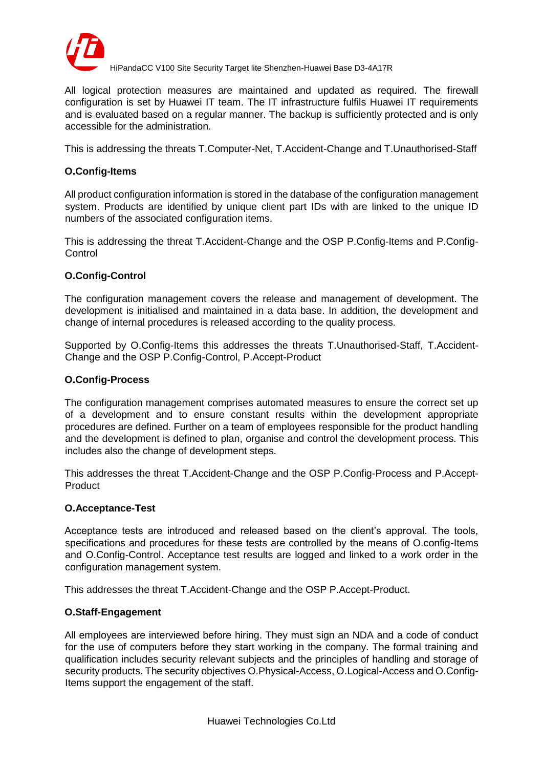

All logical protection measures are maintained and updated as required. The firewall configuration is set by Huawei IT team. The IT infrastructure fulfils Huawei IT requirements and is evaluated based on a regular manner. The backup is sufficiently protected and is only accessible for the administration.

This is addressing the threats T.Computer-Net, T.Accident-Change and T.Unauthorised-Staff

### **O.Config-Items**

All product configuration information is stored in the database of the configuration management system. Products are identified by unique client part IDs with are linked to the unique ID numbers of the associated configuration items.

This is addressing the threat T.Accident-Change and the OSP P.Config-Items and P.Config-**Control** 

#### **O.Config-Control**

The configuration management covers the release and management of development. The development is initialised and maintained in a data base. In addition, the development and change of internal procedures is released according to the quality process.

Supported by O.Config-Items this addresses the threats T.Unauthorised-Staff, T.Accident-Change and the OSP P.Config-Control, P.Accept-Product

#### **O.Config-Process**

The configuration management comprises automated measures to ensure the correct set up of a development and to ensure constant results within the development appropriate procedures are defined. Further on a team of employees responsible for the product handling and the development is defined to plan, organise and control the development process. This includes also the change of development steps.

This addresses the threat T.Accident-Change and the OSP P.Config-Process and P.Accept-**Product** 

#### **O.Acceptance-Test**

Acceptance tests are introduced and released based on the client's approval. The tools, specifications and procedures for these tests are controlled by the means of O.config-Items and O.Config-Control. Acceptance test results are logged and linked to a work order in the configuration management system.

This addresses the threat T.Accident-Change and the OSP P.Accept-Product.

#### **O.Staff-Engagement**

All employees are interviewed before hiring. They must sign an NDA and a code of conduct for the use of computers before they start working in the company. The formal training and qualification includes security relevant subjects and the principles of handling and storage of security products. The security objectives O.Physical-Access, O.Logical-Access and O.Config-Items support the engagement of the staff.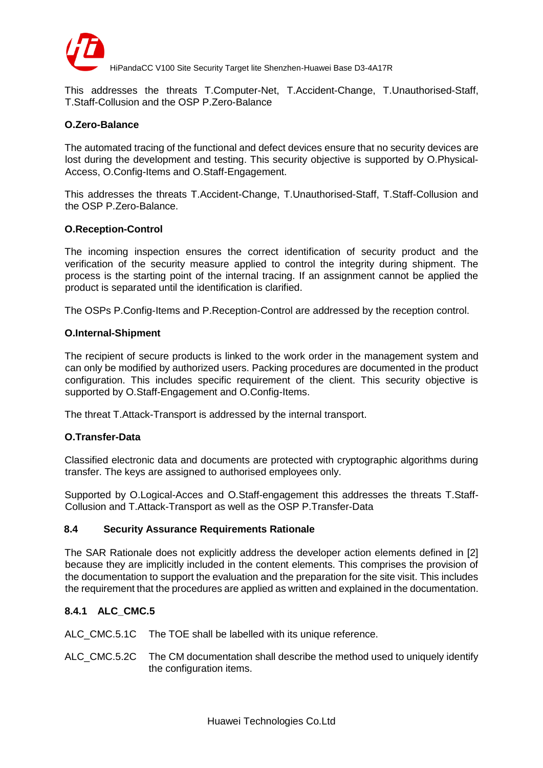

This addresses the threats T.Computer-Net, T.Accident-Change, T.Unauthorised-Staff, T.Staff-Collusion and the OSP P.Zero-Balance

## **O.Zero-Balance**

The automated tracing of the functional and defect devices ensure that no security devices are lost during the development and testing. This security objective is supported by O.Physical-Access, O.Config-Items and O.Staff-Engagement.

This addresses the threats T.Accident-Change, T.Unauthorised-Staff, T.Staff-Collusion and the OSP P.Zero-Balance.

#### **O.Reception-Control**

The incoming inspection ensures the correct identification of security product and the verification of the security measure applied to control the integrity during shipment. The process is the starting point of the internal tracing. If an assignment cannot be applied the product is separated until the identification is clarified.

The OSPs P.Config-Items and P.Reception-Control are addressed by the reception control.

#### **O.Internal-Shipment**

The recipient of secure products is linked to the work order in the management system and can only be modified by authorized users. Packing procedures are documented in the product configuration. This includes specific requirement of the client. This security objective is supported by O.Staff-Engagement and O.Config-Items.

The threat T.Attack-Transport is addressed by the internal transport.

#### **O.Transfer-Data**

Classified electronic data and documents are protected with cryptographic algorithms during transfer. The keys are assigned to authorised employees only.

Supported by O.Logical-Acces and O.Staff-engagement this addresses the threats T.Staff-Collusion and T.Attack-Transport as well as the OSP P.Transfer-Data

#### <span id="page-31-0"></span>**8.4 Security Assurance Requirements Rationale**

The SAR Rationale does not explicitly address the developer action elements defined in [2] because they are implicitly included in the content elements. This comprises the provision of the documentation to support the evaluation and the preparation for the site visit. This includes the requirement that the procedures are applied as written and explained in the documentation.

## **8.4.1 ALC\_CMC.5**

ALC\_CMC.5.1C The TOE shall be labelled with its unique reference.

ALC\_CMC.5.2C The CM documentation shall describe the method used to uniquely identify the configuration items.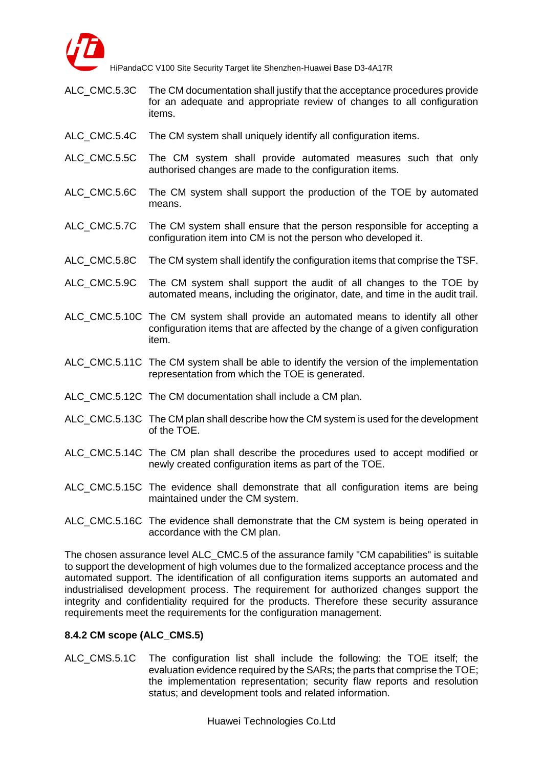

- ALC\_CMC.5.3C The CM documentation shall justify that the acceptance procedures provide for an adequate and appropriate review of changes to all configuration items.
- ALC CMC.5.4C The CM system shall uniquely identify all configuration items.
- ALC\_CMC.5.5C The CM system shall provide automated measures such that only authorised changes are made to the configuration items.
- ALC\_CMC.5.6C The CM system shall support the production of the TOE by automated means.
- ALC CMC.5.7C The CM system shall ensure that the person responsible for accepting a configuration item into CM is not the person who developed it.
- ALC CMC.5.8C The CM system shall identify the configuration items that comprise the TSF.
- ALC\_CMC.5.9C The CM system shall support the audit of all changes to the TOE by automated means, including the originator, date, and time in the audit trail.
- ALC\_CMC.5.10C The CM system shall provide an automated means to identify all other configuration items that are affected by the change of a given configuration item.
- ALC\_CMC.5.11C The CM system shall be able to identify the version of the implementation representation from which the TOE is generated.
- ALC CMC.5.12C The CM documentation shall include a CM plan.
- ALC\_CMC.5.13C The CM plan shall describe how the CM system is used for the development of the TOE.
- ALC CMC.5.14C The CM plan shall describe the procedures used to accept modified or newly created configuration items as part of the TOE.
- ALC CMC.5.15C The evidence shall demonstrate that all configuration items are being maintained under the CM system.
- ALC\_CMC.5.16C The evidence shall demonstrate that the CM system is being operated in accordance with the CM plan.

The chosen assurance level ALC\_CMC.5 of the assurance family "CM capabilities" is suitable to support the development of high volumes due to the formalized acceptance process and the automated support. The identification of all configuration items supports an automated and industrialised development process. The requirement for authorized changes support the integrity and confidentiality required for the products. Therefore these security assurance requirements meet the requirements for the configuration management.

#### **8.4.2 CM scope (ALC\_CMS.5)**

ALC\_CMS.5.1C The configuration list shall include the following: the TOE itself; the evaluation evidence required by the SARs; the parts that comprise the TOE; the implementation representation; security flaw reports and resolution status; and development tools and related information.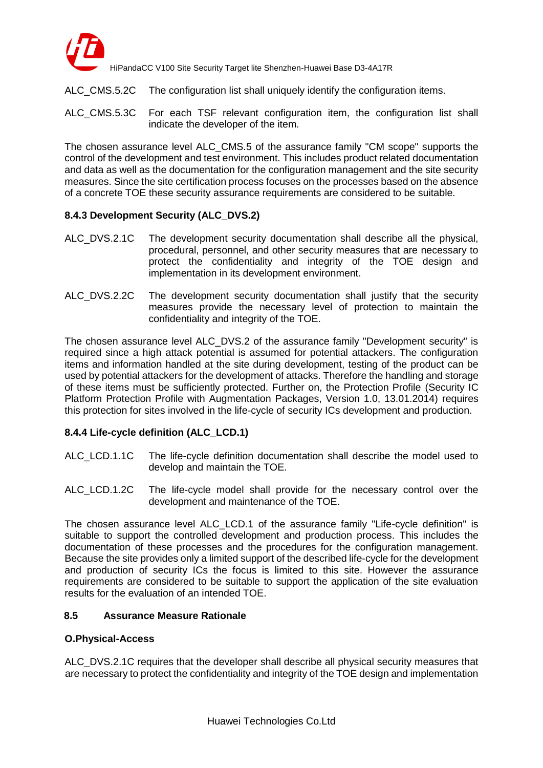

- ALC CMS.5.2C The configuration list shall uniquely identify the configuration items.
- ALC CMS.5.3C For each TSF relevant configuration item, the configuration list shall indicate the developer of the item.

The chosen assurance level ALC\_CMS.5 of the assurance family "CM scope" supports the control of the development and test environment. This includes product related documentation and data as well as the documentation for the configuration management and the site security measures. Since the site certification process focuses on the processes based on the absence of a concrete TOE these security assurance requirements are considered to be suitable.

### **8.4.3 Development Security (ALC\_DVS.2)**

- ALC\_DVS.2.1C The development security documentation shall describe all the physical, procedural, personnel, and other security measures that are necessary to protect the confidentiality and integrity of the TOE design and implementation in its development environment.
- ALC DVS.2.2C The development security documentation shall justify that the security measures provide the necessary level of protection to maintain the confidentiality and integrity of the TOE.

The chosen assurance level ALC\_DVS.2 of the assurance family "Development security" is required since a high attack potential is assumed for potential attackers. The configuration items and information handled at the site during development, testing of the product can be used by potential attackers for the development of attacks. Therefore the handling and storage of these items must be sufficiently protected. Further on, the Protection Profile (Security IC Platform Protection Profile with Augmentation Packages, Version 1.0, 13.01.2014) requires this protection for sites involved in the life-cycle of security ICs development and production.

## **8.4.4 Life-cycle definition (ALC\_LCD.1)**

- ALC LCD.1.1C The life-cycle definition documentation shall describe the model used to develop and maintain the TOE.
- ALC\_LCD.1.2C The life-cycle model shall provide for the necessary control over the development and maintenance of the TOE.

The chosen assurance level ALC\_LCD.1 of the assurance family "Life-cycle definition" is suitable to support the controlled development and production process. This includes the documentation of these processes and the procedures for the configuration management. Because the site provides only a limited support of the described life-cycle for the development and production of security ICs the focus is limited to this site. However the assurance requirements are considered to be suitable to support the application of the site evaluation results for the evaluation of an intended TOE.

#### <span id="page-33-0"></span>**8.5 Assurance Measure Rationale**

#### **O.Physical-Access**

ALC\_DVS.2.1C requires that the developer shall describe all physical security measures that are necessary to protect the confidentiality and integrity of the TOE design and implementation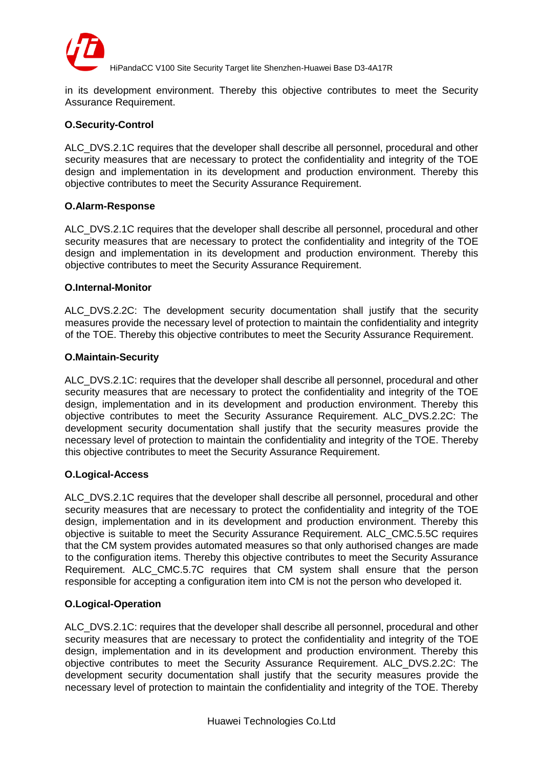

in its development environment. Thereby this objective contributes to meet the Security Assurance Requirement.

### **O.Security-Control**

ALC DVS.2.1C requires that the developer shall describe all personnel, procedural and other security measures that are necessary to protect the confidentiality and integrity of the TOE design and implementation in its development and production environment. Thereby this objective contributes to meet the Security Assurance Requirement.

#### **O.Alarm-Response**

ALC DVS.2.1C requires that the developer shall describe all personnel, procedural and other security measures that are necessary to protect the confidentiality and integrity of the TOE design and implementation in its development and production environment. Thereby this objective contributes to meet the Security Assurance Requirement.

#### **O.Internal-Monitor**

ALC\_DVS.2.2C: The development security documentation shall justify that the security measures provide the necessary level of protection to maintain the confidentiality and integrity of the TOE. Thereby this objective contributes to meet the Security Assurance Requirement.

#### **O.Maintain-Security**

ALC DVS.2.1C: requires that the developer shall describe all personnel, procedural and other security measures that are necessary to protect the confidentiality and integrity of the TOE design, implementation and in its development and production environment. Thereby this objective contributes to meet the Security Assurance Requirement. ALC\_DVS.2.2C: The development security documentation shall justify that the security measures provide the necessary level of protection to maintain the confidentiality and integrity of the TOE. Thereby this objective contributes to meet the Security Assurance Requirement.

#### **O.Logical-Access**

ALC DVS.2.1C requires that the developer shall describe all personnel, procedural and other security measures that are necessary to protect the confidentiality and integrity of the TOE design, implementation and in its development and production environment. Thereby this objective is suitable to meet the Security Assurance Requirement. ALC\_CMC.5.5C requires that the CM system provides automated measures so that only authorised changes are made to the configuration items. Thereby this objective contributes to meet the Security Assurance Requirement. ALC\_CMC.5.7C requires that CM system shall ensure that the person responsible for accepting a configuration item into CM is not the person who developed it.

## **O.Logical-Operation**

ALC DVS.2.1C: requires that the developer shall describe all personnel, procedural and other security measures that are necessary to protect the confidentiality and integrity of the TOE design, implementation and in its development and production environment. Thereby this objective contributes to meet the Security Assurance Requirement. ALC\_DVS.2.2C: The development security documentation shall justify that the security measures provide the necessary level of protection to maintain the confidentiality and integrity of the TOE. Thereby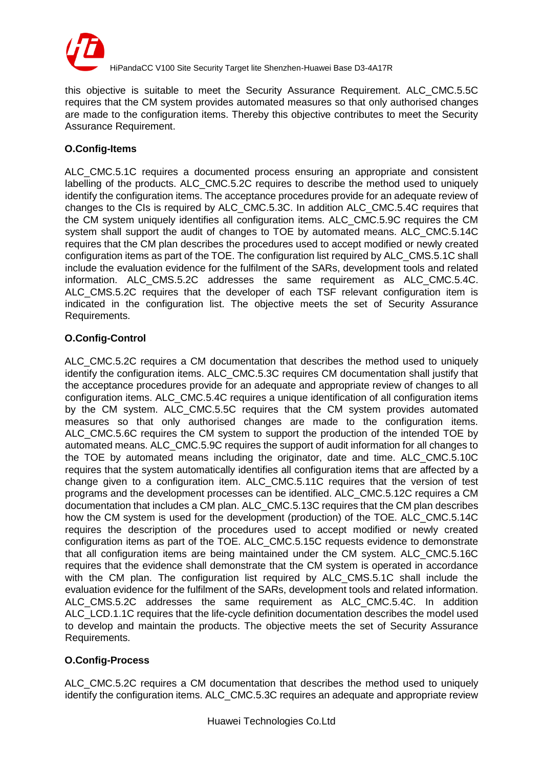

this objective is suitable to meet the Security Assurance Requirement. ALC\_CMC.5.5C requires that the CM system provides automated measures so that only authorised changes are made to the configuration items. Thereby this objective contributes to meet the Security Assurance Requirement.

## **O.Config-Items**

ALC CMC.5.1C requires a documented process ensuring an appropriate and consistent labelling of the products. ALC\_CMC.5.2C requires to describe the method used to uniquely identify the configuration items. The acceptance procedures provide for an adequate review of changes to the CIs is required by ALC\_CMC.5.3C. In addition ALC\_CMC.5.4C requires that the CM system uniquely identifies all configuration items. ALC\_CMC.5.9C requires the CM system shall support the audit of changes to TOE by automated means. ALC\_CMC.5.14C requires that the CM plan describes the procedures used to accept modified or newly created configuration items as part of the TOE. The configuration list required by ALC\_CMS.5.1C shall include the evaluation evidence for the fulfilment of the SARs, development tools and related information. ALC\_CMS.5.2C addresses the same requirement as ALC\_CMC.5.4C. ALC\_CMS.5.2C requires that the developer of each TSF relevant configuration item is indicated in the configuration list. The objective meets the set of Security Assurance Requirements.

## **O.Config-Control**

ALC\_CMC.5.2C requires a CM documentation that describes the method used to uniquely identify the configuration items. ALC\_CMC.5.3C requires CM documentation shall justify that the acceptance procedures provide for an adequate and appropriate review of changes to all configuration items. ALC\_CMC.5.4C requires a unique identification of all configuration items by the CM system. ALC\_CMC.5.5C requires that the CM system provides automated measures so that only authorised changes are made to the configuration items. ALC\_CMC.5.6C requires the CM system to support the production of the intended TOE by automated means. ALC\_CMC.5.9C requires the support of audit information for all changes to the TOE by automated means including the originator, date and time. ALC\_CMC.5.10C requires that the system automatically identifies all configuration items that are affected by a change given to a configuration item. ALC\_CMC.5.11C requires that the version of test programs and the development processes can be identified. ALC\_CMC.5.12C requires a CM documentation that includes a CM plan. ALC\_CMC.5.13C requires that the CM plan describes how the CM system is used for the development (production) of the TOE. ALC\_CMC.5.14C requires the description of the procedures used to accept modified or newly created configuration items as part of the TOE. ALC\_CMC.5.15C requests evidence to demonstrate that all configuration items are being maintained under the CM system. ALC\_CMC.5.16C requires that the evidence shall demonstrate that the CM system is operated in accordance with the CM plan. The configuration list required by ALC CMS.5.1C shall include the evaluation evidence for the fulfilment of the SARs, development tools and related information. ALC\_CMS.5.2C addresses the same requirement as ALC\_CMC.5.4C. In addition ALC\_LCD.1.1C requires that the life-cycle definition documentation describes the model used to develop and maintain the products. The objective meets the set of Security Assurance Requirements.

## **O.Config-Process**

ALC\_CMC.5.2C requires a CM documentation that describes the method used to uniquely identify the configuration items. ALC\_CMC.5.3C requires an adequate and appropriate review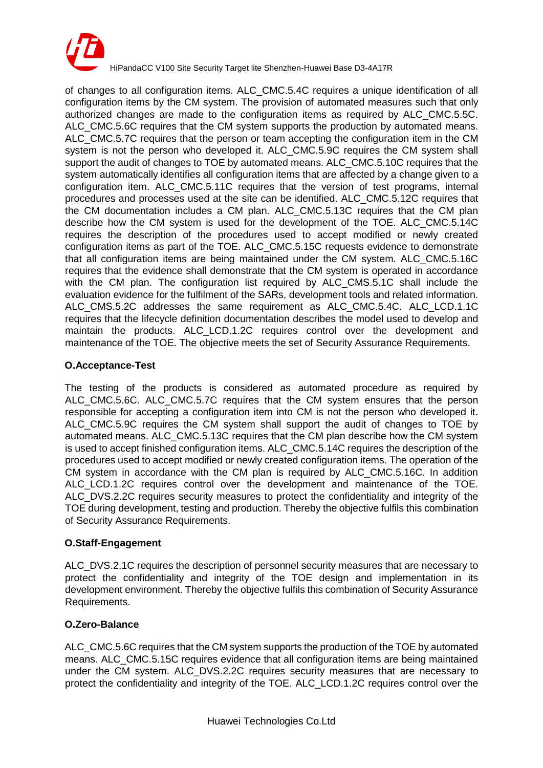

of changes to all configuration items. ALC\_CMC.5.4C requires a unique identification of all configuration items by the CM system. The provision of automated measures such that only authorized changes are made to the configuration items as required by ALC\_CMC.5.5C. ALC CMC.5.6C requires that the CM system supports the production by automated means. ALC\_CMC.5.7C requires that the person or team accepting the configuration item in the CM system is not the person who developed it. ALC CMC.5.9C requires the CM system shall support the audit of changes to TOE by automated means. ALC\_CMC.5.10C requires that the system automatically identifies all configuration items that are affected by a change given to a configuration item. ALC\_CMC.5.11C requires that the version of test programs, internal procedures and processes used at the site can be identified. ALC\_CMC.5.12C requires that the CM documentation includes a CM plan. ALC\_CMC.5.13C requires that the CM plan describe how the CM system is used for the development of the TOE. ALC\_CMC.5.14C requires the description of the procedures used to accept modified or newly created configuration items as part of the TOE. ALC\_CMC.5.15C requests evidence to demonstrate that all configuration items are being maintained under the CM system. ALC\_CMC.5.16C requires that the evidence shall demonstrate that the CM system is operated in accordance with the CM plan. The configuration list required by ALC\_CMS.5.1C shall include the evaluation evidence for the fulfilment of the SARs, development tools and related information. ALC\_CMS.5.2C addresses the same requirement as ALC\_CMC.5.4C. ALC\_LCD.1.1C requires that the lifecycle definition documentation describes the model used to develop and maintain the products. ALC\_LCD.1.2C requires control over the development and maintenance of the TOE. The objective meets the set of Security Assurance Requirements.

## **O.Acceptance-Test**

The testing of the products is considered as automated procedure as required by ALC\_CMC.5.6C. ALC\_CMC.5.7C requires that the CM system ensures that the person responsible for accepting a configuration item into CM is not the person who developed it. ALC\_CMC.5.9C requires the CM system shall support the audit of changes to TOE by automated means. ALC CMC.5.13C requires that the CM plan describe how the CM system is used to accept finished configuration items. ALC\_CMC.5.14C requires the description of the procedures used to accept modified or newly created configuration items. The operation of the CM system in accordance with the CM plan is required by ALC\_CMC.5.16C. In addition ALC LCD.1.2C requires control over the development and maintenance of the TOE. ALC DVS.2.2C requires security measures to protect the confidentiality and integrity of the TOE during development, testing and production. Thereby the objective fulfils this combination of Security Assurance Requirements.

## **O.Staff-Engagement**

ALC DVS.2.1C requires the description of personnel security measures that are necessary to protect the confidentiality and integrity of the TOE design and implementation in its development environment. Thereby the objective fulfils this combination of Security Assurance Requirements.

## **O.Zero-Balance**

ALC CMC.5.6C requires that the CM system supports the production of the TOE by automated means. ALC\_CMC.5.15C requires evidence that all configuration items are being maintained under the CM system. ALC\_DVS.2.2C requires security measures that are necessary to protect the confidentiality and integrity of the TOE. ALC\_LCD.1.2C requires control over the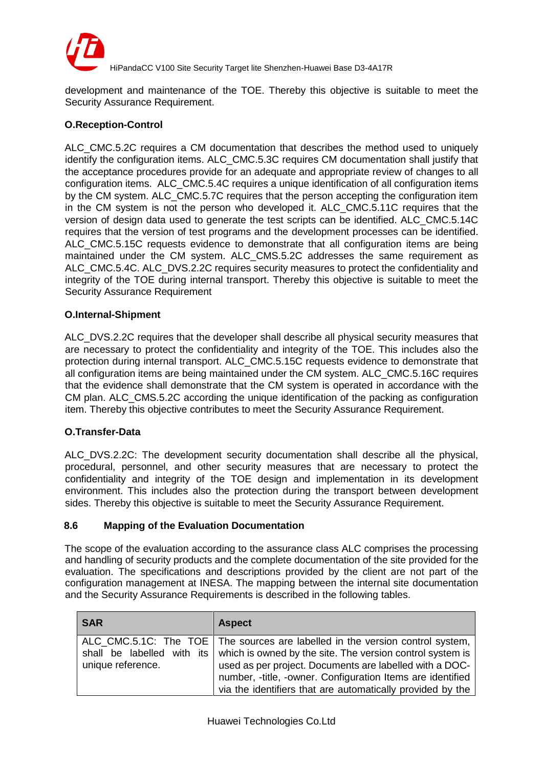

development and maintenance of the TOE. Thereby this objective is suitable to meet the Security Assurance Requirement.

## **O.Reception-Control**

ALC CMC.5.2C requires a CM documentation that describes the method used to uniquely identify the configuration items. ALC\_CMC.5.3C requires CM documentation shall justify that the acceptance procedures provide for an adequate and appropriate review of changes to all configuration items. ALC\_CMC.5.4C requires a unique identification of all configuration items by the CM system. ALC CMC.5.7C requires that the person accepting the configuration item in the CM system is not the person who developed it. ALC\_CMC.5.11C requires that the version of design data used to generate the test scripts can be identified. ALC\_CMC.5.14C requires that the version of test programs and the development processes can be identified. ALC\_CMC.5.15C requests evidence to demonstrate that all configuration items are being maintained under the CM system. ALC\_CMS.5.2C addresses the same requirement as ALC CMC.5.4C. ALC DVS.2.2C requires security measures to protect the confidentiality and integrity of the TOE during internal transport. Thereby this objective is suitable to meet the Security Assurance Requirement

#### **O.Internal-Shipment**

ALC DVS.2.2C requires that the developer shall describe all physical security measures that are necessary to protect the confidentiality and integrity of the TOE. This includes also the protection during internal transport. ALC\_CMC.5.15C requests evidence to demonstrate that all configuration items are being maintained under the CM system. ALC\_CMC.5.16C requires that the evidence shall demonstrate that the CM system is operated in accordance with the CM plan. ALC\_CMS.5.2C according the unique identification of the packing as configuration item. Thereby this objective contributes to meet the Security Assurance Requirement.

#### **O.Transfer-Data**

ALC\_DVS.2.2C: The development security documentation shall describe all the physical, procedural, personnel, and other security measures that are necessary to protect the confidentiality and integrity of the TOE design and implementation in its development environment. This includes also the protection during the transport between development sides. Thereby this objective is suitable to meet the Security Assurance Requirement.

#### <span id="page-37-0"></span>**8.6 Mapping of the Evaluation Documentation**

The scope of the evaluation according to the assurance class ALC comprises the processing and handling of security products and the complete documentation of the site provided for the evaluation. The specifications and descriptions provided by the client are not part of the configuration management at INESA. The mapping between the internal site documentation and the Security Assurance Requirements is described in the following tables.

| <b>SAR</b>        | <b>Aspect</b>                                                                                                                                                                                                                                                                                                                                                    |
|-------------------|------------------------------------------------------------------------------------------------------------------------------------------------------------------------------------------------------------------------------------------------------------------------------------------------------------------------------------------------------------------|
| unique reference. | ALC_CMC.5.1C: The TOE   The sources are labelled in the version control system,<br>shall be labelled with its   which is owned by the site. The version control system is<br>used as per project. Documents are labelled with a DOC-<br>number, -title, -owner. Configuration Items are identified<br>via the identifiers that are automatically provided by the |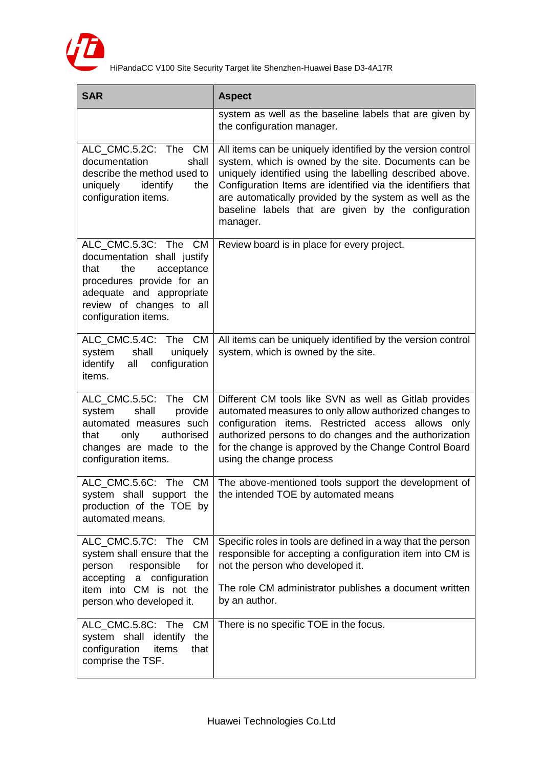

| <b>SAR</b>                                                                                                                                                                                    | <b>Aspect</b>                                                                                                                                                                                                                                                                                                                                                                |
|-----------------------------------------------------------------------------------------------------------------------------------------------------------------------------------------------|------------------------------------------------------------------------------------------------------------------------------------------------------------------------------------------------------------------------------------------------------------------------------------------------------------------------------------------------------------------------------|
|                                                                                                                                                                                               | system as well as the baseline labels that are given by<br>the configuration manager.                                                                                                                                                                                                                                                                                        |
| ALC CMC.5.2C: The CM<br>documentation<br>shall<br>describe the method used to<br>uniquely<br>identify<br>the<br>configuration items.                                                          | All items can be uniquely identified by the version control<br>system, which is owned by the site. Documents can be<br>uniquely identified using the labelling described above.<br>Configuration Items are identified via the identifiers that<br>are automatically provided by the system as well as the<br>baseline labels that are given by the configuration<br>manager. |
| ALC_CMC.5.3C: The CM<br>documentation shall justify<br>acceptance<br>the<br>that<br>procedures provide for an<br>adequate and appropriate<br>review of changes to all<br>configuration items. | Review board is in place for every project.                                                                                                                                                                                                                                                                                                                                  |
| ALC_CMC.5.4C: The CM<br>system<br>shall<br>uniquely<br>identify<br>configuration<br>all<br>items.                                                                                             | All items can be uniquely identified by the version control<br>system, which is owned by the site.                                                                                                                                                                                                                                                                           |
| ALC_CMC.5.5C: The CM<br>shall<br>provide<br>system<br>automated measures such<br>authorised<br>that<br>only<br>changes are made to the<br>configuration items.                                | Different CM tools like SVN as well as Gitlab provides<br>automated measures to only allow authorized changes to<br>configuration items. Restricted access allows only<br>authorized persons to do changes and the authorization<br>for the change is approved by the Change Control Board<br>using the change process                                                       |
| production of the TOE by<br>automated means.                                                                                                                                                  | ALC_CMC.5.6C: The CM   The above-mentioned tools support the development of<br>system shall support the $\vert$ the intended TOE by automated means                                                                                                                                                                                                                          |
| ALC_CMC.5.7C: The CM<br>system shall ensure that the<br>for<br>responsible<br>person<br>accepting<br>a configuration<br>item into CM is not the<br>person who developed it.                   | Specific roles in tools are defined in a way that the person<br>responsible for accepting a configuration item into CM is<br>not the person who developed it.<br>The role CM administrator publishes a document written<br>by an author.                                                                                                                                     |
| ALC_CMC.5.8C: The CM<br>system shall<br>the<br>identify<br>configuration<br>items<br>that<br>comprise the TSF.                                                                                | There is no specific TOE in the focus.                                                                                                                                                                                                                                                                                                                                       |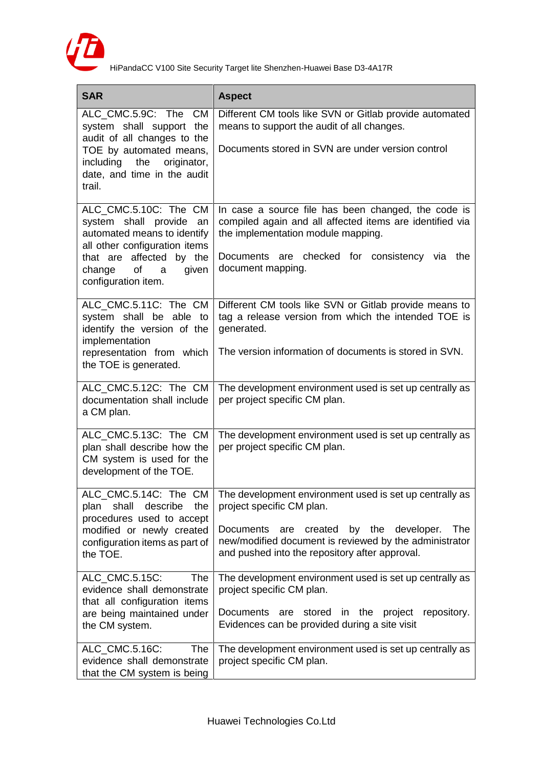

| <b>SAR</b>                                                                                                          | <b>Aspect</b>                                                                                                                                                                 |
|---------------------------------------------------------------------------------------------------------------------|-------------------------------------------------------------------------------------------------------------------------------------------------------------------------------|
| ALC_CMC.5.9C: The<br><b>CM</b><br>system shall support the<br>audit of all changes to the                           | Different CM tools like SVN or Gitlab provide automated<br>means to support the audit of all changes.                                                                         |
| TOE by automated means,<br>including<br>the<br>originator,<br>date, and time in the audit<br>trail.                 | Documents stored in SVN are under version control                                                                                                                             |
| ALC_CMC.5.10C: The CM<br>system shall provide<br>an<br>automated means to identify<br>all other configuration items | In case a source file has been changed, the code is<br>compiled again and all affected items are identified via<br>the implementation module mapping.                         |
| that are affected by the<br>of<br>change<br>given<br>a<br>configuration item.                                       | Documents are checked for consistency via the<br>document mapping.                                                                                                            |
| ALC_CMC.5.11C: The CM<br>system shall be able to<br>identify the version of the<br>implementation                   | Different CM tools like SVN or Gitlab provide means to<br>tag a release version from which the intended TOE is<br>generated.                                                  |
| representation from which<br>the TOE is generated.                                                                  | The version information of documents is stored in SVN.                                                                                                                        |
| ALC_CMC.5.12C: The CM<br>documentation shall include<br>a CM plan.                                                  | The development environment used is set up centrally as<br>per project specific CM plan.                                                                                      |
| ALC_CMC.5.13C: The CM<br>plan shall describe how the<br>CM system is used for the<br>development of the TOE.        | The development environment used is set up centrally as<br>per project specific CM plan.                                                                                      |
| shall<br>describe<br>the<br>plan<br>procedures used to accept                                                       | ALC_CMC.5.14C: The CM   The development environment used is set up centrally as<br>project specific CM plan.                                                                  |
| modified or newly created<br>configuration items as part of<br>the TOE.                                             | <b>Documents</b><br>created<br>by the<br>developer.<br>The<br>are<br>new/modified document is reviewed by the administrator<br>and pushed into the repository after approval. |
| ALC_CMC.5.15C:<br>The<br>evidence shall demonstrate<br>that all configuration items                                 | The development environment used is set up centrally as<br>project specific CM plan.                                                                                          |
| are being maintained under<br>the CM system.                                                                        | stored<br>Documents are<br>in the project repository.<br>Evidences can be provided during a site visit                                                                        |
| ALC_CMC.5.16C:<br>The<br>evidence shall demonstrate<br>that the CM system is being                                  | The development environment used is set up centrally as<br>project specific CM plan.                                                                                          |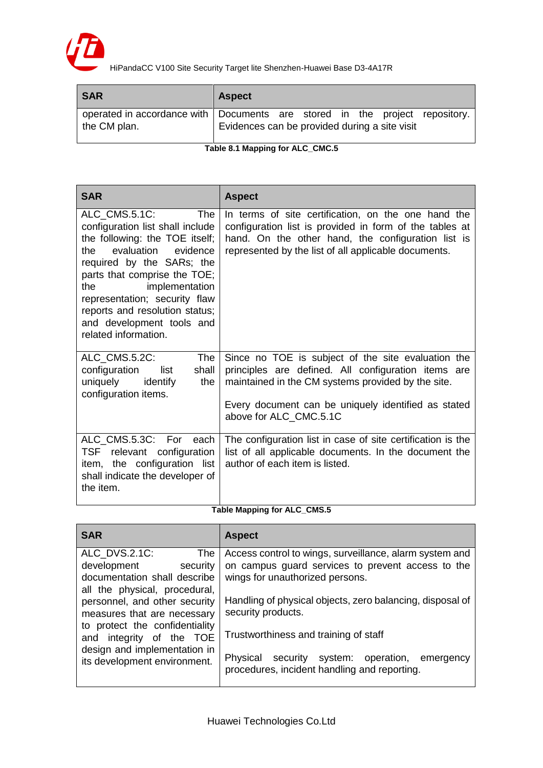

| <b>SAR</b>   | <b>Aspect</b>                                                                                                                |
|--------------|------------------------------------------------------------------------------------------------------------------------------|
| the CM plan. | operated in accordance with Documents are stored in the project repository.<br>Evidences can be provided during a site visit |

**Table 8.1 Mapping for ALC\_CMC.5**

| <b>SAR</b>                                                                                                                                                                                                                                                                                                                                                                                                                                          | <b>Aspect</b>                                                                                                                                                                                                                |
|-----------------------------------------------------------------------------------------------------------------------------------------------------------------------------------------------------------------------------------------------------------------------------------------------------------------------------------------------------------------------------------------------------------------------------------------------------|------------------------------------------------------------------------------------------------------------------------------------------------------------------------------------------------------------------------------|
| ALC CMS.5.1C:<br>The<br>configuration list shall include<br>the following: the TOE itself;<br>evaluation evidence<br>the.<br>required by the SARs; the<br>parts that comprise the TOE;<br>implementation<br>the the state of the state of the state of the state of the state of the state of the state of the state of the<br>representation; security flaw<br>reports and resolution status;<br>and development tools and<br>related information. | In terms of site certification, on the one hand the<br>configuration list is provided in form of the tables at<br>hand. On the other hand, the configuration list is<br>represented by the list of all applicable documents. |
| ALC_CMS.5.2C:<br><b>The</b><br>configuration<br>list<br>shall<br>uniquely<br>identify<br>the<br>configuration items.                                                                                                                                                                                                                                                                                                                                | Since no TOE is subject of the site evaluation the<br>principles are defined. All configuration items are<br>maintained in the CM systems provided by the site.<br>Every document can be uniquely identified as stated       |
|                                                                                                                                                                                                                                                                                                                                                                                                                                                     | above for ALC CMC.5.1C                                                                                                                                                                                                       |
| ALC CMS.5.3C: For each<br>relevant configuration<br>TSF<br>item, the configuration list<br>shall indicate the developer of<br>the item.                                                                                                                                                                                                                                                                                                             | The configuration list in case of site certification is the<br>list of all applicable documents. In the document the<br>author of each item is listed.                                                                       |

#### **Table Mapping for ALC\_CMS.5**

| <b>SAR</b>                                                                                                                                                                                                         | <b>Aspect</b>                                                                                                                                                                                                                                                               |
|--------------------------------------------------------------------------------------------------------------------------------------------------------------------------------------------------------------------|-----------------------------------------------------------------------------------------------------------------------------------------------------------------------------------------------------------------------------------------------------------------------------|
| ALC_DVS.2.1C:<br>The<br>development<br>security<br>documentation shall describe<br>all the physical, procedural,<br>personnel, and other security<br>measures that are necessary<br>to protect the confidentiality | Access control to wings, surveillance, alarm system and<br>on campus guard services to prevent access to the<br>wings for unauthorized persons.<br>Handling of physical objects, zero balancing, disposal of<br>security products.<br>Trustworthiness and training of staff |
| and integrity of the TOE<br>design and implementation in<br>its development environment.                                                                                                                           | Physical security system: operation,<br>emergency<br>procedures, incident handling and reporting.                                                                                                                                                                           |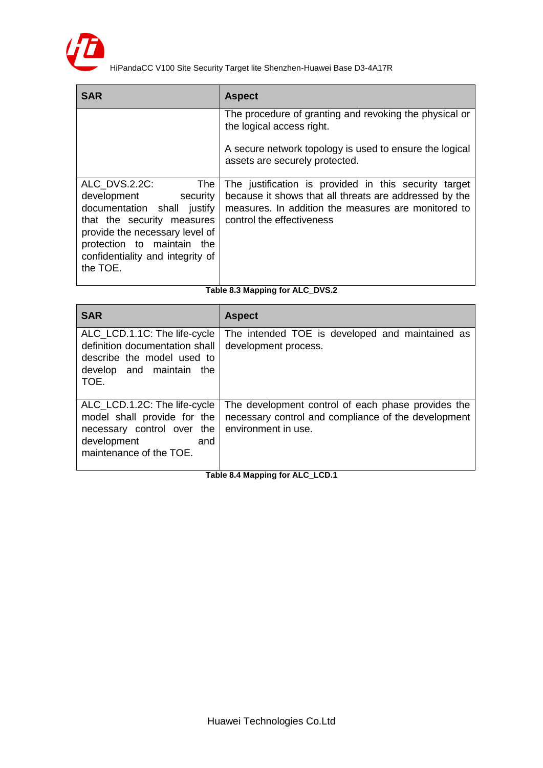

| <b>SAR</b>                                                                                                                                                                                                                | <b>Aspect</b>                                                                                                                                                                                       |
|---------------------------------------------------------------------------------------------------------------------------------------------------------------------------------------------------------------------------|-----------------------------------------------------------------------------------------------------------------------------------------------------------------------------------------------------|
|                                                                                                                                                                                                                           | The procedure of granting and revoking the physical or<br>the logical access right.                                                                                                                 |
|                                                                                                                                                                                                                           | A secure network topology is used to ensure the logical<br>assets are securely protected.                                                                                                           |
| ALC DVS.2.2C:<br>The<br>development security<br>documentation shall justify<br>that the security measures<br>provide the necessary level of<br>protection to maintain the<br>confidentiality and integrity of<br>the TOE. | The justification is provided in this security target<br>because it shows that all threats are addressed by the<br>measures. In addition the measures are monitored to<br>control the effectiveness |

#### **Table 8.3 Mapping for ALC\_DVS.2**

| <b>SAR</b>                                                                                                                                 | <b>Aspect</b>                                                                                                                    |
|--------------------------------------------------------------------------------------------------------------------------------------------|----------------------------------------------------------------------------------------------------------------------------------|
| ALC_LCD.1.1C: The life-cycle<br>definition documentation shall<br>describe the model used to<br>develop and maintain the<br>TOE.           | The intended TOE is developed and maintained as<br>development process.                                                          |
| ALC_LCD.1.2C: The life-cycle<br>model shall provide for the<br>necessary control over the<br>development<br>and<br>maintenance of the TOE. | The development control of each phase provides the<br>necessary control and compliance of the development<br>environment in use. |

**Table 8.4 Mapping for ALC\_LCD.1**